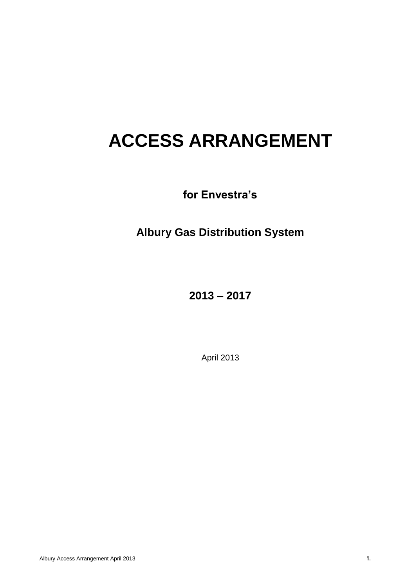# **ACCESS ARRANGEMENT**

**for Envestra's**

**Albury Gas Distribution System**

**2013 – 2017**

April 2013

Albury Access Arrangement April 2013 **1.**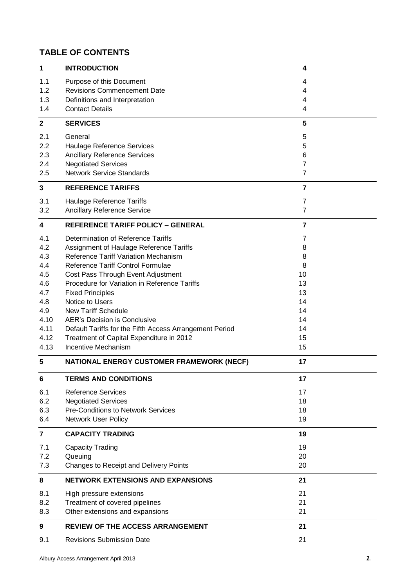# **TABLE OF CONTENTS**

| 1                       | <b>INTRODUCTION</b>                                     | $\overline{\mathbf{4}}$ |  |
|-------------------------|---------------------------------------------------------|-------------------------|--|
| 1.1                     | Purpose of this Document                                | 4                       |  |
| 1.2                     | <b>Revisions Commencement Date</b>                      | 4                       |  |
| 1.3                     | Definitions and Interpretation                          | 4                       |  |
| 1.4                     | <b>Contact Details</b>                                  | 4                       |  |
| $\mathbf{2}$            | <b>SERVICES</b>                                         | 5                       |  |
| 2.1                     | General                                                 | 5                       |  |
| 2.2                     | Haulage Reference Services                              | 5                       |  |
| 2.3                     | <b>Ancillary Reference Services</b>                     | 6                       |  |
| 2.4                     | <b>Negotiated Services</b>                              | 7                       |  |
| 2.5                     | <b>Network Service Standards</b>                        | 7                       |  |
| $\mathbf{3}$            | <b>REFERENCE TARIFFS</b>                                | 7                       |  |
| 3.1                     | Haulage Reference Tariffs                               | 7                       |  |
| 3.2                     | <b>Ancillary Reference Service</b>                      | $\overline{7}$          |  |
| $\overline{\mathbf{4}}$ | <b>REFERENCE TARIFF POLICY - GENERAL</b>                | $\overline{7}$          |  |
| 4.1                     | Determination of Reference Tariffs                      | 7                       |  |
| 4.2                     | Assignment of Haulage Reference Tariffs                 | 8                       |  |
| 4.3                     | Reference Tariff Variation Mechanism                    | 8                       |  |
| 4.4                     | Reference Tariff Control Formulae                       | 8                       |  |
| 4.5                     | Cost Pass Through Event Adjustment                      | 10                      |  |
| 4.6                     | Procedure for Variation in Reference Tariffs            | 13                      |  |
| 4.7                     | <b>Fixed Principles</b>                                 | 13                      |  |
| 4.8                     | Notice to Users                                         | 14                      |  |
| 4.9                     | <b>New Tariff Schedule</b>                              | 14                      |  |
| 4.10                    | AER's Decision is Conclusive                            | 14                      |  |
| 4.11                    | Default Tariffs for the Fifth Access Arrangement Period | 14                      |  |
| 4.12                    | Treatment of Capital Expenditure in 2012                | 15                      |  |
| 4.13                    | <b>Incentive Mechanism</b>                              | 15                      |  |
| 5                       | NATIONAL ENERGY CUSTOMER FRAMEWORK (NECF)               | 17                      |  |
| 6                       | <b>TERMS AND CONDITIONS</b>                             | 17                      |  |
| 6.1                     | <b>Reference Services</b>                               | 17                      |  |
| 6.2                     | <b>Negotiated Services</b>                              | 18                      |  |
| 6.3                     | <b>Pre-Conditions to Network Services</b>               | 18                      |  |
| 6.4                     | <b>Network User Policy</b>                              | 19                      |  |
| $\overline{\mathbf{r}}$ | <b>CAPACITY TRADING</b>                                 | 19                      |  |
| 7.1                     | <b>Capacity Trading</b>                                 | 19                      |  |
| 7.2                     | Queuing                                                 | 20                      |  |
| 7.3                     | Changes to Receipt and Delivery Points                  | 20                      |  |
| 8                       | <b>NETWORK EXTENSIONS AND EXPANSIONS</b>                | 21                      |  |
| 8.1                     | High pressure extensions                                | 21                      |  |
| 8.2                     | Treatment of covered pipelines                          | 21                      |  |
| 8.3                     | Other extensions and expansions                         | 21                      |  |
| 9                       | <b>REVIEW OF THE ACCESS ARRANGEMENT</b>                 | 21                      |  |
| 9.1                     | <b>Revisions Submission Date</b>                        | 21                      |  |
|                         |                                                         |                         |  |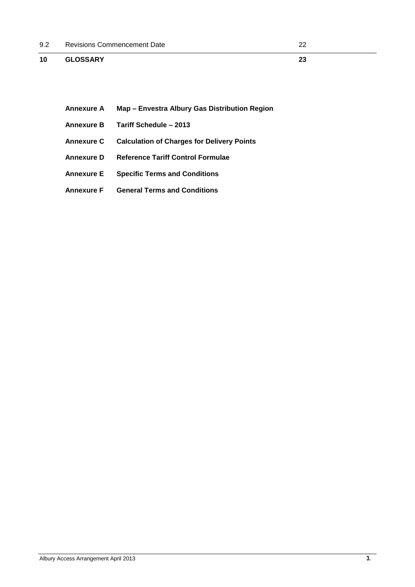## **10 [GLOSSARY](#page-22-0) 23**

- **Annexure A Map – Envestra Albury Gas Distribution Region**
- **Annexure B Tariff Schedule – 2013**
- **Annexure C Calculation of Charges for Delivery Points**
- **Annexure D Reference Tariff Control Formulae**
- **Annexure E Specific Terms and Conditions**
- **Annexure F General Terms and Conditions**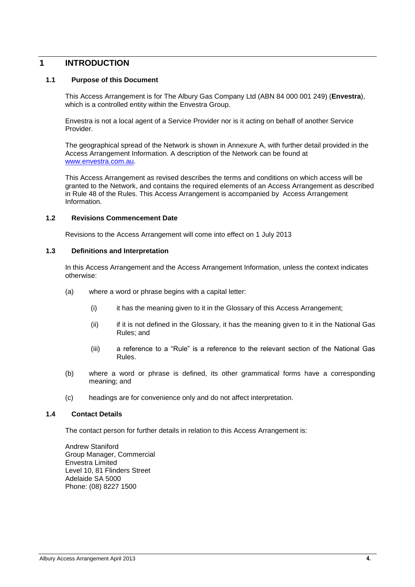## <span id="page-3-0"></span>**1 INTRODUCTION**

#### <span id="page-3-1"></span>**1.1 Purpose of this Document**

This Access Arrangement is for The Albury Gas Company Ltd (ABN 84 000 001 249) (**Envestra**), which is a controlled entity within the Envestra Group.

Envestra is not a local agent of a Service Provider nor is it acting on behalf of another Service Provider.

The geographical spread of the Network is shown in Annexure A, with further detail provided in the Access Arrangement Information. A description of the Network can be found at www.envestra.com.au.

This Access Arrangement as revised describes the terms and conditions on which access will be granted to the Network, and contains the required elements of an Access Arrangement as described in Rule 48 of the Rules. This Access Arrangement is accompanied by Access Arrangement Information.

#### <span id="page-3-2"></span>**1.2 Revisions Commencement Date**

Revisions to the Access Arrangement will come into effect on 1 July 2013

#### <span id="page-3-3"></span>**1.3 Definitions and Interpretation**

In this Access Arrangement and the Access Arrangement Information, unless the context indicates otherwise:

- (a) where a word or phrase begins with a capital letter:
	- (i) it has the meaning given to it in the Glossary of this Access Arrangement;
	- (ii) if it is not defined in the Glossary, it has the meaning given to it in the National Gas Rules; and
	- (iii) a reference to a "Rule" is a reference to the relevant section of the National Gas Rules.
- (b) where a word or phrase is defined, its other grammatical forms have a corresponding meaning; and
- (c) headings are for convenience only and do not affect interpretation.

#### <span id="page-3-4"></span>**1.4 Contact Details**

The contact person for further details in relation to this Access Arrangement is:

Andrew Staniford Group Manager, Commercial Envestra Limited Level 10, 81 Flinders Street Adelaide SA 5000 Phone: (08) 8227 1500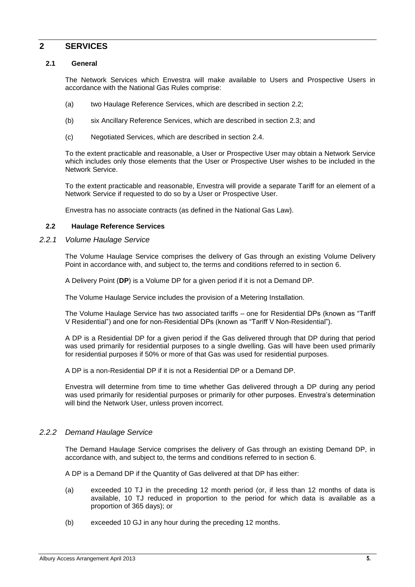#### <span id="page-4-0"></span>**2 SERVICES**

#### <span id="page-4-1"></span>**2.1 General**

The Network Services which Envestra will make available to Users and Prospective Users in accordance with the National Gas Rules comprise:

- (a) two Haulage Reference Services, which are described in section [2.2;](#page-4-2)
- (b) six Ancillary Reference Services, which are described in section [2.3;](#page-5-0) and
- (c) Negotiated Services, which are described in section [2.4.](#page-6-0)

To the extent practicable and reasonable, a User or Prospective User may obtain a Network Service which includes only those elements that the User or Prospective User wishes to be included in the Network Service.

To the extent practicable and reasonable, Envestra will provide a separate Tariff for an element of a Network Service if requested to do so by a User or Prospective User.

<span id="page-4-4"></span>Envestra has no associate contracts (as defined in the National Gas Law).

#### <span id="page-4-2"></span>**2.2 Haulage Reference Services**

#### <span id="page-4-3"></span>*2.2.1 Volume Haulage Service*

The Volume Haulage Service comprises the delivery of Gas through an existing Volume Delivery Point in accordance with, and subject to, the terms and conditions referred to in section [6.](#page-16-1)

A Delivery Point (**DP**) is a Volume DP for a given period if it is not a Demand DP.

The Volume Haulage Service includes the provision of a Metering Installation.

The Volume Haulage Service has two associated tariffs – one for Residential DPs (known as "Tariff V Residential") and one for non-Residential DPs (known as "Tariff V Non-Residential").

A DP is a Residential DP for a given period if the Gas delivered through that DP during that period was used primarily for residential purposes to a single dwelling. Gas will have been used primarily for residential purposes if 50% or more of that Gas was used for residential purposes.

A DP is a non-Residential DP if it is not a Residential DP or a Demand DP.

Envestra will determine from time to time whether Gas delivered through a DP during any period was used primarily for residential purposes or primarily for other purposes. Envestra's determination will bind the Network User, unless proven incorrect.

#### *2.2.2 Demand Haulage Service*

The Demand Haulage Service comprises the delivery of Gas through an existing Demand DP, in accordance with, and subject to, the terms and conditions referred to in section [6.](#page-16-1)

A DP is a Demand DP if the Quantity of Gas delivered at that DP has either:

- (a) exceeded 10 TJ in the preceding 12 month period (or, if less than 12 months of data is available, 10 TJ reduced in proportion to the period for which data is available as a proportion of 365 days); or
- (b) exceeded 10 GJ in any hour during the preceding 12 months.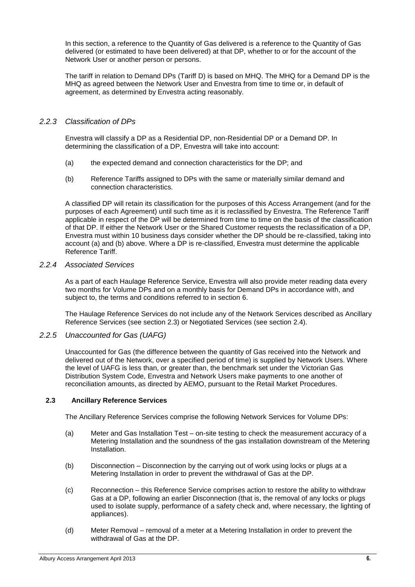In this section, a reference to the Quantity of Gas delivered is a reference to the Quantity of Gas delivered (or estimated to have been delivered) at that DP, whether to or for the account of the Network User or another person or persons.

The tariff in relation to Demand DPs (Tariff D) is based on MHQ. The MHQ for a Demand DP is the MHQ as agreed between the Network User and Envestra from time to time or, in default of agreement, as determined by Envestra acting reasonably.

#### <span id="page-5-1"></span>*2.2.3 Classification of DPs*

Envestra will classify a DP as a Residential DP, non-Residential DP or a Demand DP. In determining the classification of a DP, Envestra will take into account:

- (a) the expected demand and connection characteristics for the DP; and
- (b) Reference Tariffs assigned to DPs with the same or materially similar demand and connection characteristics.

A classified DP will retain its classification for the purposes of this Access Arrangement (and for the purposes of each Agreement) until such time as it is reclassified by Envestra. The Reference Tariff applicable in respect of the DP will be determined from time to time on the basis of the classification of that DP. If either the Network User or the Shared Customer requests the reclassification of a DP, Envestra must within 10 business days consider whether the DP should be re-classified, taking into account (a) and (b) above. Where a DP is re-classified, Envestra must determine the applicable Reference Tariff.

#### *2.2.4 Associated Services*

As a part of each Haulage Reference Service, Envestra will also provide meter reading data every two months for Volume DPs and on a monthly basis for Demand DPs in accordance with, and subject to, the terms and conditions referred to in section [6.](#page-16-1)

The Haulage Reference Services do not include any of the Network Services described as Ancillary Reference Services (see section [2.3\)](#page-5-0) or Negotiated Services (see section [2.4\)](#page-6-0).

#### *2.2.5 Unaccounted for Gas (UAFG)*

Unaccounted for Gas (the difference between the quantity of Gas received into the Network and delivered out of the Network, over a specified period of time) is supplied by Network Users. Where the level of UAFG is less than, or greater than, the benchmark set under the Victorian Gas Distribution System Code, Envestra and Network Users make payments to one another of reconciliation amounts, as directed by AEMO, pursuant to the Retail Market Procedures.

#### <span id="page-5-0"></span>**2.3 Ancillary Reference Services**

The Ancillary Reference Services comprise the following Network Services for Volume DPs:

- (a) Meter and Gas Installation Test on-site testing to check the measurement accuracy of a Metering Installation and the soundness of the gas installation downstream of the Metering Installation.
- (b) Disconnection Disconnection by the carrying out of work using locks or plugs at a Metering Installation in order to prevent the withdrawal of Gas at the DP.
- (c) Reconnection this Reference Service comprises action to restore the ability to withdraw Gas at a DP, following an earlier Disconnection (that is, the removal of any locks or plugs used to isolate supply, performance of a safety check and, where necessary, the lighting of appliances).
- (d) Meter Removal removal of a meter at a Metering Installation in order to prevent the withdrawal of Gas at the DP.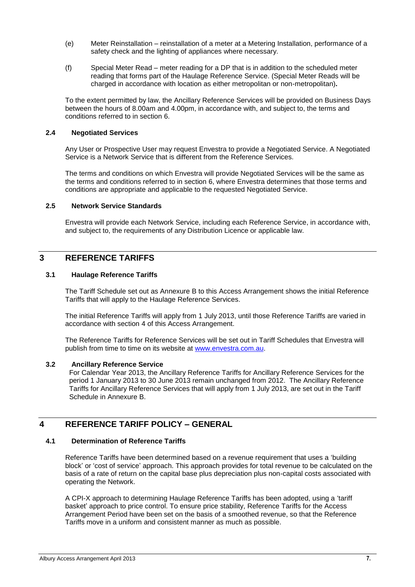- (e) Meter Reinstallation reinstallation of a meter at a Metering Installation, performance of a safety check and the lighting of appliances where necessary.
- (f) Special Meter Read meter reading for a DP that is in addition to the scheduled meter reading that forms part of the Haulage Reference Service. (Special Meter Reads will be charged in accordance with location as either metropolitan or non-metropolitan)**.**

To the extent permitted by law, the Ancillary Reference Services will be provided on Business Days between the hours of 8.00am and 4.00pm, in accordance with, and subject to, the terms and conditions referred to in section [6.](#page-16-1)

#### <span id="page-6-0"></span>**2.4 Negotiated Services**

Any User or Prospective User may request Envestra to provide a Negotiated Service. A Negotiated Service is a Network Service that is different from the Reference Services.

The terms and conditions on which Envestra will provide Negotiated Services will be the same as the terms and conditions referred to in section [6,](#page-16-1) where Envestra determines that those terms and conditions are appropriate and applicable to the requested Negotiated Service.

#### <span id="page-6-1"></span>**2.5 Network Service Standards**

Envestra will provide each Network Service, including each Reference Service, in accordance with, and subject to, the requirements of any Distribution Licence or applicable law.

## <span id="page-6-3"></span><span id="page-6-2"></span>**3 REFERENCE TARIFFS**

#### **3.1 Haulage Reference Tariffs**

The Tariff Schedule set out as Annexure B to this Access Arrangement shows the initial Reference Tariffs that will apply to the Haulage Reference Services.

The initial Reference Tariffs will apply from 1 July 2013, until those Reference Tariffs are varied in accordance with section [4](#page-6-5) of this Access Arrangement.

The Reference Tariffs for Reference Services will be set out in Tariff Schedules that Envestra will publish from time to time on its website at www.envestra.com.au.

#### <span id="page-6-4"></span>**3.2 Ancillary Reference Service**

For Calendar Year 2013, the Ancillary Reference Tariffs for Ancillary Reference Services for the period 1 January 2013 to 30 June 2013 remain unchanged from 2012. The Ancillary Reference Tariffs for Ancillary Reference Services that will apply from 1 July 2013, are set out in the Tariff Schedule in Annexure B.

## <span id="page-6-6"></span><span id="page-6-5"></span>**4 REFERENCE TARIFF POLICY – GENERAL**

#### **4.1 Determination of Reference Tariffs**

Reference Tariffs have been determined based on a revenue requirement that uses a 'building block' or 'cost of service' approach. This approach provides for total revenue to be calculated on the basis of a rate of return on the capital base plus depreciation plus non-capital costs associated with operating the Network.

A CPI-X approach to determining Haulage Reference Tariffs has been adopted, using a 'tariff basket' approach to price control. To ensure price stability, Reference Tariffs for the Access Arrangement Period have been set on the basis of a smoothed revenue, so that the Reference Tariffs move in a uniform and consistent manner as much as possible.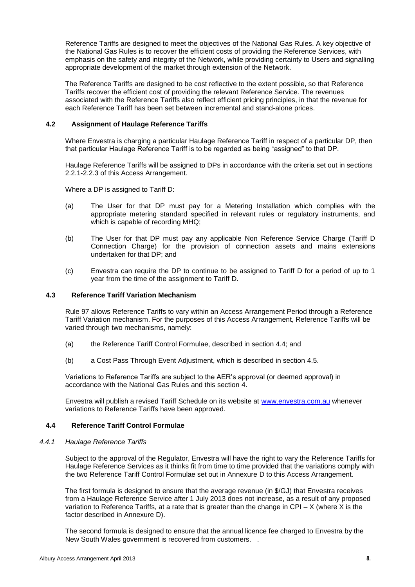Reference Tariffs are designed to meet the objectives of the National Gas Rules. A key objective of the National Gas Rules is to recover the efficient costs of providing the Reference Services, with emphasis on the safety and integrity of the Network, while providing certainty to Users and signalling appropriate development of the market through extension of the Network.

The Reference Tariffs are designed to be cost reflective to the extent possible, so that Reference Tariffs recover the efficient cost of providing the relevant Reference Service. The revenues associated with the Reference Tariffs also reflect efficient pricing principles, in that the revenue for each Reference Tariff has been set between incremental and stand-alone prices.

#### <span id="page-7-0"></span>**4.2 Assignment of Haulage Reference Tariffs**

Where Envestra is charging a particular Haulage Reference Tariff in respect of a particular DP, then that particular Haulage Reference Tariff is to be regarded as being "assigned" to that DP.

Haulage Reference Tariffs will be assigned to DPs in accordance with the criteria set out in sections [2.2.1-](#page-4-3)[2.2.3](#page-5-1) of this Access Arrangement.

Where a DP is assigned to Tariff D:

- (a) The User for that DP must pay for a Metering Installation which complies with the appropriate metering standard specified in relevant rules or regulatory instruments, and which is capable of recording MHQ;
- (b) The User for that DP must pay any applicable Non Reference Service Charge (Tariff D Connection Charge) for the provision of connection assets and mains extensions undertaken for that DP; and
- (c) Envestra can require the DP to continue to be assigned to Tariff D for a period of up to 1 year from the time of the assignment to Tariff D.

#### <span id="page-7-1"></span>**4.3 Reference Tariff Variation Mechanism**

Rule 97 allows Reference Tariffs to vary within an Access Arrangement Period through a Reference Tariff Variation mechanism. For the purposes of this Access Arrangement, Reference Tariffs will be varied through two mechanisms, namely:

- (a) the Reference Tariff Control Formulae, described in section [4.4;](#page-7-2) and
- (b) a Cost Pass Through Event Adjustment, which is described in section [4.5.](#page-9-0)

Variations to Reference Tariffs are subject to the AER's approval (or deemed approval) in accordance with the National Gas Rules and this section [4.](#page-6-5)

Envestra will publish a revised Tariff Schedule on its website at [www.envestra.com.au](http://www.envestra.com.au/) whenever variations to Reference Tariffs have been approved.

#### <span id="page-7-2"></span>**4.4 Reference Tariff Control Formulae**

#### *4.4.1 Haulage Reference Tariffs*

Subject to the approval of the Regulator, Envestra will have the right to vary the Reference Tariffs for Haulage Reference Services as it thinks fit from time to time provided that the variations comply with the two Reference Tariff Control Formulae set out in Annexure D to this Access Arrangement.

The first formula is designed to ensure that the average revenue (in \$/GJ) that Envestra receives from a Haulage Reference Service after 1 July 2013 does not increase, as a result of any proposed variation to Reference Tariffs, at a rate that is greater than the change in CPI –  $X$  (where X is the factor described in Annexure D).

The second formula is designed to ensure that the annual licence fee charged to Envestra by the New South Wales government is recovered from customers. .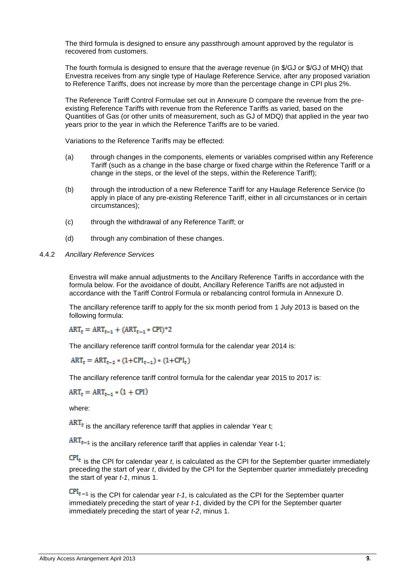The third formula is designed to ensure any passthrough amount approved by the regulator is recovered from customers.

The fourth formula is designed to ensure that the average revenue (in \$/GJ or \$/GJ of MHQ) that Envestra receives from any single type of Haulage Reference Service, after any proposed variation to Reference Tariffs, does not increase by more than the percentage change in CPI plus 2%.

The Reference Tariff Control Formulae set out in Annexure D compare the revenue from the preexisting Reference Tariffs with revenue from the Reference Tariffs as varied, based on the Quantities of Gas (or other units of measurement, such as GJ of MDQ) that applied in the year two years prior to the year in which the Reference Tariffs are to be varied.

Variations to the Reference Tariffs may be effected:

- (a) through changes in the components, elements or variables comprised within any Reference Tariff (such as a change in the base charge or fixed charge within the Reference Tariff or a change in the steps, or the level of the steps, within the Reference Tariff);
- (b) through the introduction of a new Reference Tariff for any Haulage Reference Service (to apply in place of any pre-existing Reference Tariff, either in all circumstances or in certain circumstances);
- (c) through the withdrawal of any Reference Tariff; or
- (d) through any combination of these changes.
- 4.4.2 *Ancillary Reference Services*

Envestra will make annual adjustments to the Ancillary Reference Tariffs in accordance with the formula below. For the avoidance of doubt, Ancillary Reference Tariffs are not adjusted in accordance with the Tariff Control Formula or rebalancing control formula in Annexure D.

The ancillary reference tariff to apply for the six month period from 1 July 2013 is based on the following formula:

 $ART_t = ART_{t-1} + (ART_{t-1} * CPI)^*2$ 

The ancillary reference tariff control formula for the calendar year 2014 is:

 $ART_t = ART_{t-2} * (1 + CPL_{t-1}) * (1 + CPL_{t})$ 

The ancillary reference tariff control formula for the calendar year 2015 to 2017 is:

$$
ART_t = ART_{t-1} * (1 + CPU)
$$

where:

 $RRT_t$  is the ancillary reference tariff that applies in calendar Year t;

 $ART_{t-1}$  is the ancillary reference tariff that applies in calendar Year t-1;

is the CPI for calendar year *t*, is calculated as the CPI for the September quarter immediately preceding the start of year *t*, divided by the CPI for the September quarter immediately preceding the start of year *t-1*, minus 1.

 $CPI_{t-1}$  is the CPI for calendar year  $t-1$ , is calculated as the CPI for the September quarter immediately preceding the start of year *t-1*, divided by the CPI for the September quarter immediately preceding the start of year *t-2*, minus 1.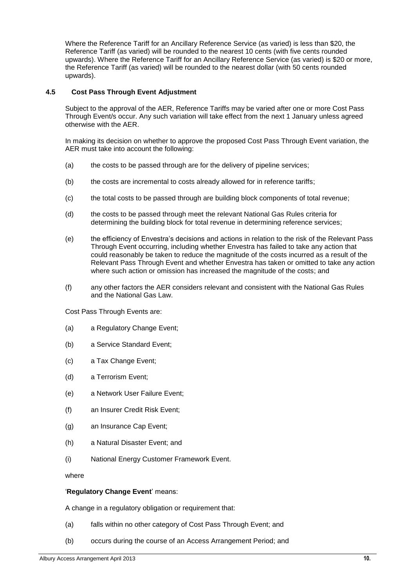Where the Reference Tariff for an Ancillary Reference Service (as varied) is less than \$20, the Reference Tariff (as varied) will be rounded to the nearest 10 cents (with five cents rounded upwards). Where the Reference Tariff for an Ancillary Reference Service (as varied) is \$20 or more, the Reference Tariff (as varied) will be rounded to the nearest dollar (with 50 cents rounded upwards).

#### <span id="page-9-0"></span>**4.5 Cost Pass Through Event Adjustment**

Subject to the approval of the AER, Reference Tariffs may be varied after one or more Cost Pass Through Event/s occur. Any such variation will take effect from the next 1 January unless agreed otherwise with the AER.

In making its decision on whether to approve the proposed Cost Pass Through Event variation, the AER must take into account the following:

- (a) the costs to be passed through are for the delivery of pipeline services;
- (b) the costs are incremental to costs already allowed for in reference tariffs;
- (c) the total costs to be passed through are building block components of total revenue;
- (d) the costs to be passed through meet the relevant National Gas Rules criteria for determining the building block for total revenue in determining reference services;
- (e) the efficiency of Envestra's decisions and actions in relation to the risk of the Relevant Pass Through Event occurring, including whether Envestra has failed to take any action that could reasonably be taken to reduce the magnitude of the costs incurred as a result of the Relevant Pass Through Event and whether Envestra has taken or omitted to take any action where such action or omission has increased the magnitude of the costs; and
- (f) any other factors the AER considers relevant and consistent with the National Gas Rules and the National Gas Law.

Cost Pass Through Events are:

- (a) a Regulatory Change Event;
- (b) a Service Standard Event;
- (c) a Tax Change Event;
- (d) a Terrorism Event;
- (e) a Network User Failure Event;
- (f) an Insurer Credit Risk Event;
- (g) an Insurance Cap Event;
- (h) a Natural Disaster Event; and
- (i) National Energy Customer Framework Event.

where

#### '**Regulatory Change Event**' means:

A change in a regulatory obligation or requirement that:

- (a) falls within no other category of Cost Pass Through Event; and
- (b) occurs during the course of an Access Arrangement Period; and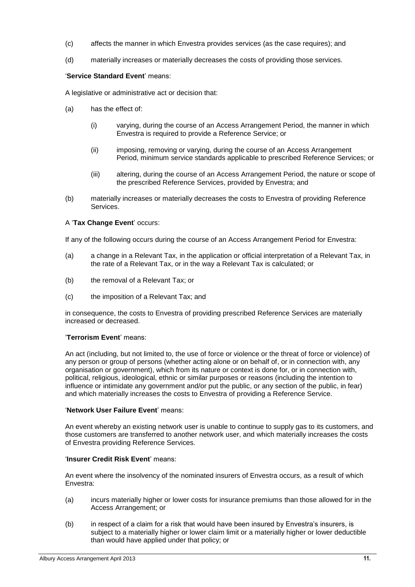- (c) affects the manner in which Envestra provides services (as the case requires); and
- (d) materially increases or materially decreases the costs of providing those services.

#### '**Service Standard Event**' means:

A legislative or administrative act or decision that:

- (a) has the effect of:
	- (i) varying, during the course of an Access Arrangement Period, the manner in which Envestra is required to provide a Reference Service; or
	- (ii) imposing, removing or varying, during the course of an Access Arrangement Period, minimum service standards applicable to prescribed Reference Services; or
	- (iii) altering, during the course of an Access Arrangement Period, the nature or scope of the prescribed Reference Services, provided by Envestra; and
- (b) materially increases or materially decreases the costs to Envestra of providing Reference Services.

#### A '**Tax Change Event**' occurs:

If any of the following occurs during the course of an Access Arrangement Period for Envestra:

- (a) a change in a Relevant Tax, in the application or official interpretation of a Relevant Tax, in the rate of a Relevant Tax, or in the way a Relevant Tax is calculated; or
- (b) the removal of a Relevant Tax; or
- (c) the imposition of a Relevant Tax; and

in consequence, the costs to Envestra of providing prescribed Reference Services are materially increased or decreased.

#### '**Terrorism Event**' means:

An act (including, but not limited to, the use of force or violence or the threat of force or violence) of any person or group of persons (whether acting alone or on behalf of, or in connection with, any organisation or government), which from its nature or context is done for, or in connection with, political, religious, ideological, ethnic or similar purposes or reasons (including the intention to influence or intimidate any government and/or put the public, or any section of the public, in fear) and which materially increases the costs to Envestra of providing a Reference Service.

#### '**Network User Failure Event**' means:

An event whereby an existing network user is unable to continue to supply gas to its customers, and those customers are transferred to another network user, and which materially increases the costs of Envestra providing Reference Services.

#### '**Insurer Credit Risk Event**' means:

An event where the insolvency of the nominated insurers of Envestra occurs, as a result of which Envestra:

- (a) incurs materially higher or lower costs for insurance premiums than those allowed for in the Access Arrangement; or
- (b) in respect of a claim for a risk that would have been insured by Envestra's insurers, is subject to a materially higher or lower claim limit or a materially higher or lower deductible than would have applied under that policy; or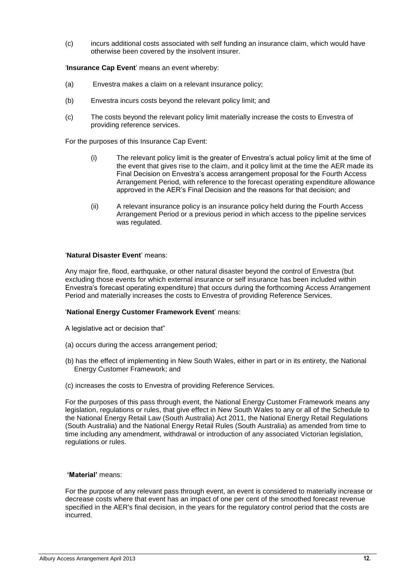(c) incurs additional costs associated with self funding an insurance claim, which would have otherwise been covered by the insolvent insurer.

#### '**Insurance Cap Event**' means an event whereby:

- (a) Envestra makes a claim on a relevant insurance policy;
- (b) Envestra incurs costs beyond the relevant policy limit; and
- (c) The costs beyond the relevant policy limit materially increase the costs to Envestra of providing reference services.

For the purposes of this Insurance Cap Event:

- (i) The relevant policy limit is the greater of Envestra's actual policy limit at the time of the event that gives rise to the claim, and it policy limit at the time the AER made its Final Decision on Envestra's access arrangement proposal for the Fourth Access Arrangement Period, with reference to the forecast operating expenditure allowance approved in the AER's Final Decision and the reasons for that decision; and
- (ii) A relevant insurance policy is an insurance policy held during the Fourth Access Arrangement Period or a previous period in which access to the pipeline services was regulated.

#### '**Natural Disaster Event**' means:

Any major fire, flood, earthquake, or other natural disaster beyond the control of Envestra (but excluding those events for which external insurance or self insurance has been included within Envestra's forecast operating expenditure) that occurs during the forthcoming Access Arrangement Period and materially increases the costs to Envestra of providing Reference Services.

#### '**National Energy Customer Framework Event**' means:

- A legislative act or decision that"
- (a) occurs during the access arrangement period;
- (b) has the effect of implementing in New South Wales, either in part or in its entirety, the National Energy Customer Framework; and
- (c) increases the costs to Envestra of providing Reference Services.

For the purposes of this pass through event, the National Energy Customer Framework means any legislation, regulations or rules, that give effect in New South Wales to any or all of the Schedule to the National Energy Retail Law (South Australia) Act 2011, the National Energy Retail Regulations (South Australia) and the National Energy Retail Rules (South Australia) as amended from time to time including any amendment, withdrawal or introduction of any associated Victorian legislation, regulations or rules.

#### **'Material'** means:

For the purpose of any relevant pass through event, an event is considered to materially increase or decrease costs where that event has an impact of one per cent of the smoothed forecast revenue specified in the AER's final decision, in the years for the regulatory control period that the costs are incurred.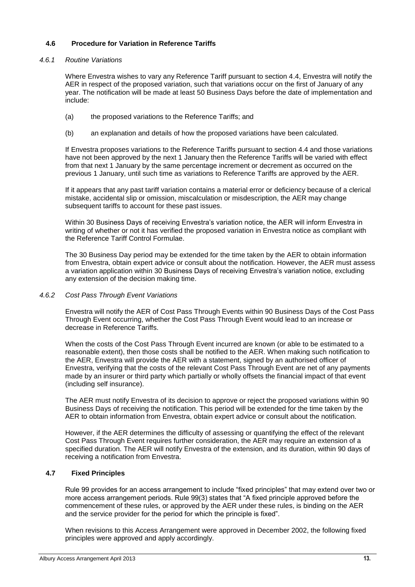#### <span id="page-12-0"></span>**4.6 Procedure for Variation in Reference Tariffs**

#### *4.6.1 Routine Variations*

Where Envestra wishes to vary any Reference Tariff pursuant to section 4.4, Envestra will notify the AER in respect of the proposed variation, such that variations occur on the first of January of any year. The notification will be made at least 50 Business Days before the date of implementation and include:

- (a) the proposed variations to the Reference Tariffs; and
- (b) an explanation and details of how the proposed variations have been calculated.

If Envestra proposes variations to the Reference Tariffs pursuant to section 4.4 and those variations have not been approved by the next 1 January then the Reference Tariffs will be varied with effect from that next 1 January by the same percentage increment or decrement as occurred on the previous 1 January, until such time as variations to Reference Tariffs are approved by the AER.

If it appears that any past tariff variation contains a material error or deficiency because of a clerical mistake, accidental slip or omission, miscalculation or misdescription, the AER may change subsequent tariffs to account for these past issues.

Within 30 Business Days of receiving Envestra's variation notice, the AER will inform Envestra in writing of whether or not it has verified the proposed variation in Envestra notice as compliant with the Reference Tariff Control Formulae.

The 30 Business Day period may be extended for the time taken by the AER to obtain information from Envestra, obtain expert advice or consult about the notification. However, the AER must assess a variation application within 30 Business Days of receiving Envestra's variation notice, excluding any extension of the decision making time.

#### *4.6.2 Cost Pass Through Event Variations*

Envestra will notify the AER of Cost Pass Through Events within 90 Business Days of the Cost Pass Through Event occurring, whether the Cost Pass Through Event would lead to an increase or decrease in Reference Tariffs.

When the costs of the Cost Pass Through Event incurred are known (or able to be estimated to a reasonable extent), then those costs shall be notified to the AER. When making such notification to the AER, Envestra will provide the AER with a statement, signed by an authorised officer of Envestra, verifying that the costs of the relevant Cost Pass Through Event are net of any payments made by an insurer or third party which partially or wholly offsets the financial impact of that event (including self insurance).

The AER must notify Envestra of its decision to approve or reject the proposed variations within 90 Business Days of receiving the notification. This period will be extended for the time taken by the AER to obtain information from Envestra, obtain expert advice or consult about the notification.

However, if the AER determines the difficulty of assessing or quantifying the effect of the relevant Cost Pass Through Event requires further consideration, the AER may require an extension of a specified duration. The AER will notify Envestra of the extension, and its duration, within 90 days of receiving a notification from Envestra.

#### <span id="page-12-1"></span>**4.7 Fixed Principles**

Rule 99 provides for an access arrangement to include "fixed principles" that may extend over two or more access arrangement periods. Rule 99(3) states that "A fixed principle approved before the commencement of these rules, or approved by the AER under these rules, is binding on the AER and the service provider for the period for which the principle is fixed".

When revisions to this Access Arrangement were approved in December 2002, the following fixed principles were approved and apply accordingly.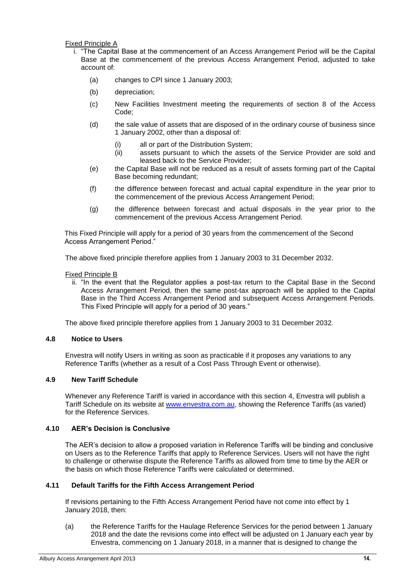Fixed Principle A

- i. "The Capital Base at the commencement of an Access Arrangement Period will be the Capital Base at the commencement of the previous Access Arrangement Period, adjusted to take account of:
	- (a) changes to CPI since 1 January 2003;
	- (b) depreciation;
	- (c) New Facilities Investment meeting the requirements of section 8 of the Access Code;
	- (d) the sale value of assets that are disposed of in the ordinary course of business since 1 January 2002, other than a disposal of:
		- (i) all or part of the Distribution System;
		- (ii) assets pursuant to which the assets of the Service Provider are sold and leased back to the Service Provider;
	- (e) the Capital Base will not be reduced as a result of assets forming part of the Capital Base becoming redundant;
	- (f) the difference between forecast and actual capital expenditure in the year prior to the commencement of the previous Access Arrangement Period;
	- (g) the difference between forecast and actual disposals in the year prior to the commencement of the previous Access Arrangement Period.

This Fixed Principle will apply for a period of 30 years from the commencement of the Second Access Arrangement Period."

The above fixed principle therefore applies from 1 January 2003 to 31 December 2032.

#### Fixed Principle B

ii. "In the event that the Regulator applies a post-tax return to the Capital Base in the Second Access Arrangement Period, then the same post-tax approach will be applied to the Capital Base in the Third Access Arrangement Period and subsequent Access Arrangement Periods. This Fixed Principle will apply for a period of 30 years."

The above fixed principle therefore applies from 1 January 2003 to 31 December 2032.

#### <span id="page-13-0"></span>**4.8 Notice to Users**

Envestra will notify Users in writing as soon as practicable if it proposes any variations to any Reference Tariffs (whether as a result of a Cost Pass Through Event or otherwise).

#### <span id="page-13-1"></span>**4.9 New Tariff Schedule**

Whenever any Reference Tariff is varied in accordance with this section [4,](#page-6-5) Envestra will publish a Tariff Schedule on its website at [www.envestra.com.au,](http://www.envestra.com.au/) showing the Reference Tariffs (as varied) for the Reference Services.

#### <span id="page-13-2"></span>**4.10 AER's Decision is Conclusive**

The AER's decision to allow a proposed variation in Reference Tariffs will be binding and conclusive on Users as to the Reference Tariffs that apply to Reference Services. Users will not have the right to challenge or otherwise dispute the Reference Tariffs as allowed from time to time by the AER or the basis on which those Reference Tariffs were calculated or determined.

#### <span id="page-13-3"></span>**4.11 Default Tariffs for the Fifth Access Arrangement Period**

If revisions pertaining to the Fifth Access Arrangement Period have not come into effect by 1 January 2018, then:

(a) the Reference Tariffs for the Haulage Reference Services for the period between 1 January 2018 and the date the revisions come into effect will be adjusted on 1 January each year by Envestra, commencing on 1 January 2018, in a manner that is designed to change the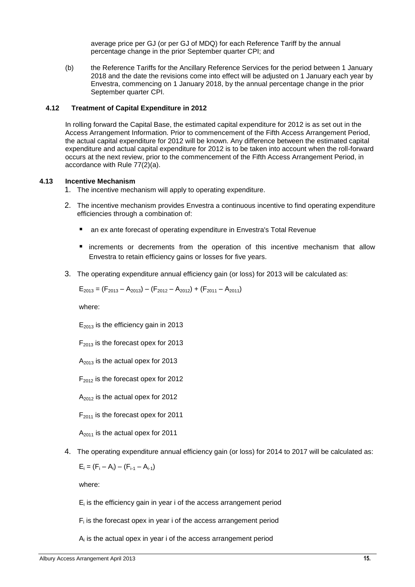average price per GJ (or per GJ of MDQ) for each Reference Tariff by the annual percentage change in the prior September quarter CPI; and

(b) the Reference Tariffs for the Ancillary Reference Services for the period between 1 January 2018 and the date the revisions come into effect will be adjusted on 1 January each year by Envestra, commencing on 1 January 2018, by the annual percentage change in the prior September quarter CPI.

#### <span id="page-14-0"></span>**4.12 Treatment of Capital Expenditure in 2012**

In rolling forward the Capital Base, the estimated capital expenditure for 2012 is as set out in the Access Arrangement Information. Prior to commencement of the Fifth Access Arrangement Period, the actual capital expenditure for 2012 will be known. Any difference between the estimated capital expenditure and actual capital expenditure for 2012 is to be taken into account when the roll-forward occurs at the next review, prior to the commencement of the Fifth Access Arrangement Period, in accordance with Rule 77(2)(a).

#### <span id="page-14-1"></span>**4.13 Incentive Mechanism**

1. The incentive mechanism will apply to operating expenditure.

- 2. The incentive mechanism provides Envestra a continuous incentive to find operating expenditure efficiencies through a combination of:
	- an ex ante forecast of operating expenditure in Envestra's Total Revenue
	- increments or decrements from the operation of this incentive mechanism that allow Envestra to retain efficiency gains or losses for five years.
- 3. The operating expenditure annual efficiency gain (or loss) for 2013 will be calculated as:

$$
E_{2013} = (F_{2013} - A_{2013}) - (F_{2012} - A_{2012}) + (F_{2011} - A_{2011})
$$

where:

 $E_{2013}$  is the efficiency gain in 2013

 $F<sub>2013</sub>$  is the forecast opex for 2013

 $A_{2013}$  is the actual opex for 2013

 $F<sub>2012</sub>$  is the forecast opex for 2012

 $A_{2012}$  is the actual opex for 2012

 $F<sub>2011</sub>$  is the forecast opex for 2011

 $A_{2011}$  is the actual opex for 2011

4. The operating expenditure annual efficiency gain (or loss) for 2014 to 2017 will be calculated as:

 $E_i = (F_i - A_i) - (F_{i-1} - A_{i-1})$ 

where:

 $E_i$  is the efficiency gain in year i of the access arrangement period

 $F_i$  is the forecast opex in year i of the access arrangement period

 $A_i$  is the actual opex in year i of the access arrangement period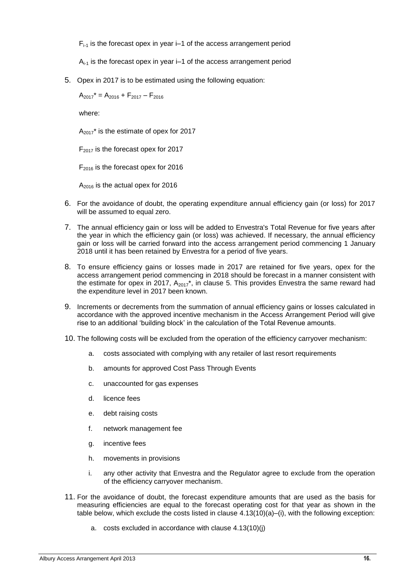$F_{i-1}$  is the forecast opex in year  $i-1$  of the access arrangement period

 $A_{i-1}$  is the forecast opex in year  $i-1$  of the access arrangement period

<span id="page-15-0"></span>5. Opex in 2017 is to be estimated using the following equation:

 $A_{2017}^* = A_{2016} + F_{2017} - F_{2016}$ 

where:

 $A_{2017}$ <sup>\*</sup> is the estimate of opex for 2017

 $F_{2017}$  is the forecast opex for 2017

 $F<sub>2016</sub>$  is the forecast opex for 2016

 $A_{2016}$  is the actual opex for 2016

- 6. For the avoidance of doubt, the operating expenditure annual efficiency gain (or loss) for 2017 will be assumed to equal zero.
- 7. The annual efficiency gain or loss will be added to Envestra's Total Revenue for five years after the year in which the efficiency gain (or loss) was achieved. If necessary, the annual efficiency gain or loss will be carried forward into the access arrangement period commencing 1 January 2018 until it has been retained by Envestra for a period of five years.
- 8. To ensure efficiency gains or losses made in 2017 are retained for five years, opex for the access arrangement period commencing in 2018 should be forecast in a manner consistent with the estimate for opex in 2017,  $A_{2017}^*$ , in clause [5.](#page-15-0) This provides Envestra the same reward had the expenditure level in 2017 been known.
- 9. Increments or decrements from the summation of annual efficiency gains or losses calculated in accordance with the approved incentive mechanism in the Access Arrangement Period will give rise to an additional 'building block' in the calculation of the Total Revenue amounts.
- 10. The following costs will be excluded from the operation of the efficiency carryover mechanism:
	- a. costs associated with complying with any retailer of last resort requirements
	- b. amounts for approved Cost Pass Through Events
	- c. unaccounted for gas expenses
	- d. licence fees
	- e. debt raising costs
	- f. network management fee
	- g. incentive fees
	- h. movements in provisions
	- i. any other activity that Envestra and the Regulator agree to exclude from the operation of the efficiency carryover mechanism.
- 11. For the avoidance of doubt, the forecast expenditure amounts that are used as the basis for measuring efficiencies are equal to the forecast operating cost for that year as shown in the table below, which exclude the costs listed in clause  $4.13(10)(a)$ –(i), with the following exception:
	- a. costs excluded in accordance with clause 4.13(10)(j)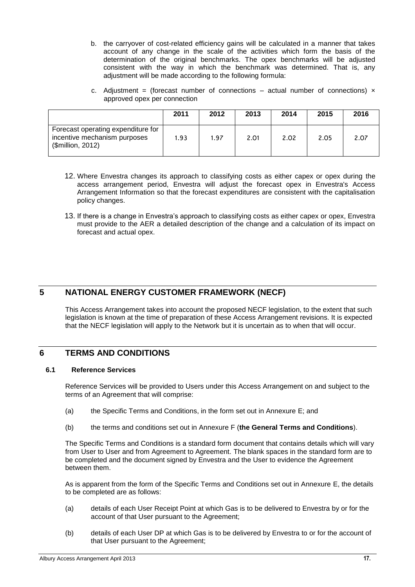- b. the carryover of cost-related efficiency gains will be calculated in a manner that takes account of any change in the scale of the activities which form the basis of the determination of the original benchmarks. The opex benchmarks will be adjusted consistent with the way in which the benchmark was determined. That is, any adjustment will be made according to the following formula:
- c. Adjustment = (forecast number of connections actual number of connections)  $\times$ approved opex per connection

|                                                                                         | 2011 | 2012 | 2013 | 2014 | 2015 | 2016 |
|-----------------------------------------------------------------------------------------|------|------|------|------|------|------|
| Forecast operating expenditure for<br>incentive mechanism purposes<br>(\$million, 2012) | 1.93 | 1.97 | 2.01 | 2.02 | 2.05 | 2.07 |

- 12. Where Envestra changes its approach to classifying costs as either capex or opex during the access arrangement period, Envestra will adjust the forecast opex in Envestra's Access Arrangement Information so that the forecast expenditures are consistent with the capitalisation policy changes.
- 13. If there is a change in Envestra's approach to classifying costs as either capex or opex, Envestra must provide to the AER a detailed description of the change and a calculation of its impact on forecast and actual opex.

## <span id="page-16-0"></span>**5 NATIONAL ENERGY CUSTOMER FRAMEWORK (NECF)**

This Access Arrangement takes into account the proposed NECF legislation, to the extent that such legislation is known at the time of preparation of these Access Arrangement revisions. It is expected that the NECF legislation will apply to the Network but it is uncertain as to when that will occur.

## <span id="page-16-1"></span>**6 TERMS AND CONDITIONS**

#### <span id="page-16-2"></span>**6.1 Reference Services**

Reference Services will be provided to Users under this Access Arrangement on and subject to the terms of an Agreement that will comprise:

- (a) the Specific Terms and Conditions, in the form set out in Annexure E; and
- (b) the terms and conditions set out in Annexure F (**the General Terms and Conditions**).

The Specific Terms and Conditions is a standard form document that contains details which will vary from User to User and from Agreement to Agreement. The blank spaces in the standard form are to be completed and the document signed by Envestra and the User to evidence the Agreement between them.

As is apparent from the form of the Specific Terms and Conditions set out in Annexure E, the details to be completed are as follows:

- (a) details of each User Receipt Point at which Gas is to be delivered to Envestra by or for the account of that User pursuant to the Agreement;
- (b) details of each User DP at which Gas is to be delivered by Envestra to or for the account of that User pursuant to the Agreement;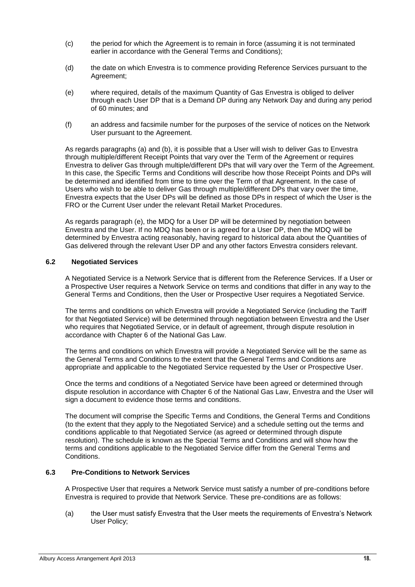- (c) the period for which the Agreement is to remain in force (assuming it is not terminated earlier in accordance with the General Terms and Conditions);
- (d) the date on which Envestra is to commence providing Reference Services pursuant to the Agreement;
- (e) where required, details of the maximum Quantity of Gas Envestra is obliged to deliver through each User DP that is a Demand DP during any Network Day and during any period of 60 minutes; and
- (f) an address and facsimile number for the purposes of the service of notices on the Network User pursuant to the Agreement.

As regards paragraphs (a) and (b), it is possible that a User will wish to deliver Gas to Envestra through multiple/different Receipt Points that vary over the Term of the Agreement or requires Envestra to deliver Gas through multiple/different DPs that will vary over the Term of the Agreement. In this case, the Specific Terms and Conditions will describe how those Receipt Points and DPs will be determined and identified from time to time over the Term of that Agreement. In the case of Users who wish to be able to deliver Gas through multiple/different DPs that vary over the time, Envestra expects that the User DPs will be defined as those DPs in respect of which the User is the FRO or the Current User under the relevant Retail Market Procedures.

As regards paragraph (e), the MDQ for a User DP will be determined by negotiation between Envestra and the User. If no MDQ has been or is agreed for a User DP, then the MDQ will be determined by Envestra acting reasonably, having regard to historical data about the Quantities of Gas delivered through the relevant User DP and any other factors Envestra considers relevant.

#### <span id="page-17-0"></span>**6.2 Negotiated Services**

A Negotiated Service is a Network Service that is different from the Reference Services. If a User or a Prospective User requires a Network Service on terms and conditions that differ in any way to the General Terms and Conditions, then the User or Prospective User requires a Negotiated Service.

The terms and conditions on which Envestra will provide a Negotiated Service (including the Tariff for that Negotiated Service) will be determined through negotiation between Envestra and the User who requires that Negotiated Service, or in default of agreement, through dispute resolution in accordance with Chapter 6 of the National Gas Law.

The terms and conditions on which Envestra will provide a Negotiated Service will be the same as the General Terms and Conditions to the extent that the General Terms and Conditions are appropriate and applicable to the Negotiated Service requested by the User or Prospective User.

Once the terms and conditions of a Negotiated Service have been agreed or determined through dispute resolution in accordance with Chapter 6 of the National Gas Law, Envestra and the User will sign a document to evidence those terms and conditions.

The document will comprise the Specific Terms and Conditions, the General Terms and Conditions (to the extent that they apply to the Negotiated Service) and a schedule setting out the terms and conditions applicable to that Negotiated Service (as agreed or determined through dispute resolution). The schedule is known as the Special Terms and Conditions and will show how the terms and conditions applicable to the Negotiated Service differ from the General Terms and Conditions.

#### <span id="page-17-1"></span>**6.3 Pre-Conditions to Network Services**

A Prospective User that requires a Network Service must satisfy a number of pre-conditions before Envestra is required to provide that Network Service. These pre-conditions are as follows:

(a) the User must satisfy Envestra that the User meets the requirements of Envestra's Network User Policy;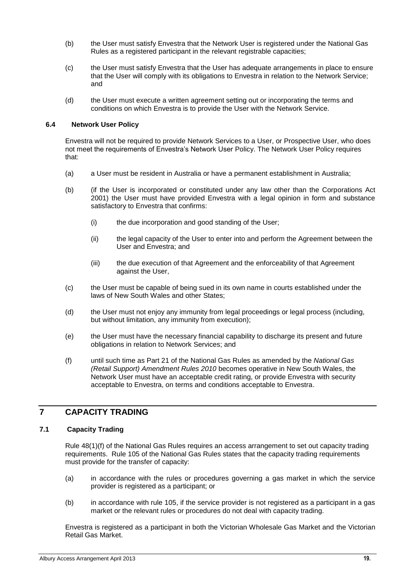- (b) the User must satisfy Envestra that the Network User is registered under the National Gas Rules as a registered participant in the relevant registrable capacities;
- (c) the User must satisfy Envestra that the User has adequate arrangements in place to ensure that the User will comply with its obligations to Envestra in relation to the Network Service; and
- (d) the User must execute a written agreement setting out or incorporating the terms and conditions on which Envestra is to provide the User with the Network Service.

#### <span id="page-18-0"></span>**6.4 Network User Policy**

Envestra will not be required to provide Network Services to a User, or Prospective User, who does not meet the requirements of Envestra's Network User Policy. The Network User Policy requires that:

- (a) a User must be resident in Australia or have a permanent establishment in Australia;
- (b) (if the User is incorporated or constituted under any law other than the Corporations Act 2001) the User must have provided Envestra with a legal opinion in form and substance satisfactory to Envestra that confirms:
	- (i) the due incorporation and good standing of the User;
	- (ii) the legal capacity of the User to enter into and perform the Agreement between the User and Envestra; and
	- (iii) the due execution of that Agreement and the enforceability of that Agreement against the User,
- (c) the User must be capable of being sued in its own name in courts established under the laws of New South Wales and other States;
- (d) the User must not enjoy any immunity from legal proceedings or legal process (including, but without limitation, any immunity from execution);
- (e) the User must have the necessary financial capability to discharge its present and future obligations in relation to Network Services; and
- (f) until such time as Part 21 of the National Gas Rules as amended by the *National Gas (Retail Support) Amendment Rules 2010* becomes operative in New South Wales, the Network User must have an acceptable credit rating, or provide Envestra with security acceptable to Envestra, on terms and conditions acceptable to Envestra.

#### <span id="page-18-1"></span>**7 CAPACITY TRADING**

#### **7.1 Capacity Trading**

<span id="page-18-2"></span>Rule 48(1)(f) of the National Gas Rules requires an access arrangement to set out capacity trading requirements. Rule 105 of the National Gas Rules states that the capacity trading requirements must provide for the transfer of capacity:

- (a) in accordance with the rules or procedures governing a gas market in which the service provider is registered as a participant; or
- (b) in accordance with rule 105, if the service provider is not registered as a participant in a gas market or the relevant rules or procedures do not deal with capacity trading.

Envestra is registered as a participant in both the Victorian Wholesale Gas Market and the Victorian Retail Gas Market.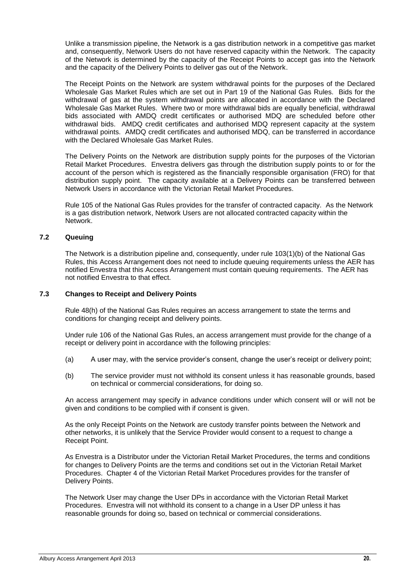Unlike a transmission pipeline, the Network is a gas distribution network in a competitive gas market and, consequently, Network Users do not have reserved capacity within the Network. The capacity of the Network is determined by the capacity of the Receipt Points to accept gas into the Network and the capacity of the Delivery Points to deliver gas out of the Network.

The Receipt Points on the Network are system withdrawal points for the purposes of the Declared Wholesale Gas Market Rules which are set out in Part 19 of the National Gas Rules. Bids for the withdrawal of gas at the system withdrawal points are allocated in accordance with the Declared Wholesale Gas Market Rules. Where two or more withdrawal bids are equally beneficial, withdrawal bids associated with AMDQ credit certificates or authorised MDQ are scheduled before other withdrawal bids. AMDQ credit certificates and authorised MDQ represent capacity at the system withdrawal points. AMDQ credit certificates and authorised MDQ, can be transferred in accordance with the Declared Wholesale Gas Market Rules.

The Delivery Points on the Network are distribution supply points for the purposes of the Victorian Retail Market Procedures. Envestra delivers gas through the distribution supply points to or for the account of the person which is registered as the financially responsible organisation (FRO) for that distribution supply point. The capacity available at a Delivery Points can be transferred between Network Users in accordance with the Victorian Retail Market Procedures.

Rule 105 of the National Gas Rules provides for the transfer of contracted capacity. As the Network is a gas distribution network, Network Users are not allocated contracted capacity within the Network.

#### <span id="page-19-0"></span>**7.2 Queuing**

The Network is a distribution pipeline and, consequently, under rule 103(1)(b) of the National Gas Rules, this Access Arrangement does not need to include queuing requirements unless the AER has notified Envestra that this Access Arrangement must contain queuing requirements. The AER has not notified Envestra to that effect.

#### <span id="page-19-1"></span>**7.3 Changes to Receipt and Delivery Points**

Rule 48(h) of the National Gas Rules requires an access arrangement to state the terms and conditions for changing receipt and delivery points.

Under rule 106 of the National Gas Rules, an access arrangement must provide for the change of a receipt or delivery point in accordance with the following principles:

- (a) A user may, with the service provider's consent, change the user's receipt or delivery point;
- (b) The service provider must not withhold its consent unless it has reasonable grounds, based on technical or commercial considerations, for doing so.

An access arrangement may specify in advance conditions under which consent will or will not be given and conditions to be complied with if consent is given.

As the only Receipt Points on the Network are custody transfer points between the Network and other networks, it is unlikely that the Service Provider would consent to a request to change a Receipt Point.

As Envestra is a Distributor under the Victorian Retail Market Procedures, the terms and conditions for changes to Delivery Points are the terms and conditions set out in the Victorian Retail Market Procedures. Chapter 4 of the Victorian Retail Market Procedures provides for the transfer of Delivery Points.

The Network User may change the User DPs in accordance with the Victorian Retail Market Procedures. Envestra will not withhold its consent to a change in a User DP unless it has reasonable grounds for doing so, based on technical or commercial considerations.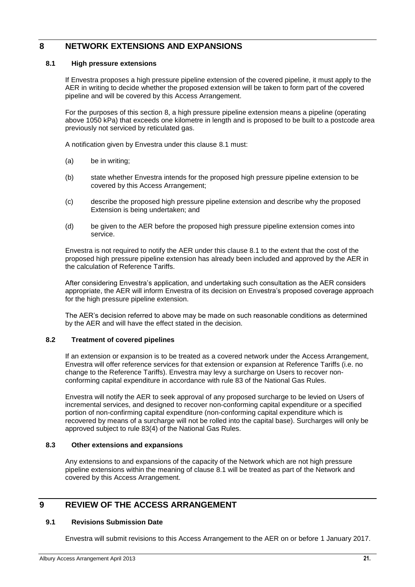## <span id="page-20-0"></span>**8 NETWORK EXTENSIONS AND EXPANSIONS**

#### <span id="page-20-1"></span>**8.1 High pressure extensions**

If Envestra proposes a high pressure pipeline extension of the covered pipeline, it must apply to the AER in writing to decide whether the proposed extension will be taken to form part of the covered pipeline and will be covered by this Access Arrangement.

For the purposes of this section [8,](#page-20-0) a high pressure pipeline extension means a pipeline (operating above 1050 kPa) that exceeds one kilometre in length and is proposed to be built to a postcode area previously not serviced by reticulated gas.

A notification given by Envestra under this clause [8.1](#page-20-1) must:

- (a) be in writing;
- (b) state whether Envestra intends for the proposed high pressure pipeline extension to be covered by this Access Arrangement;
- (c) describe the proposed high pressure pipeline extension and describe why the proposed Extension is being undertaken; and
- (d) be given to the AER before the proposed high pressure pipeline extension comes into service.

Envestra is not required to notify the AER under this clause 8.1 to the extent that the cost of the proposed high pressure pipeline extension has already been included and approved by the AER in the calculation of Reference Tariffs.

After considering Envestra's application, and undertaking such consultation as the AER considers appropriate, the AER will inform Envestra of its decision on Envestra's proposed coverage approach for the high pressure pipeline extension.

The AER's decision referred to above may be made on such reasonable conditions as determined by the AER and will have the effect stated in the decision.

#### <span id="page-20-2"></span>**8.2 Treatment of covered pipelines**

If an extension or expansion is to be treated as a covered network under the Access Arrangement, Envestra will offer reference services for that extension or expansion at Reference Tariffs (i.e. no change to the Reference Tariffs). Envestra may levy a surcharge on Users to recover nonconforming capital expenditure in accordance with rule 83 of the National Gas Rules.

Envestra will notify the AER to seek approval of any proposed surcharge to be levied on Users of incremental services, and designed to recover non-conforming capital expenditure or a specified portion of non-confirming capital expenditure (non-conforming capital expenditure which is recovered by means of a surcharge will not be rolled into the capital base). Surcharges will only be approved subject to rule 83(4) of the National Gas Rules.

#### <span id="page-20-3"></span>**8.3 Other extensions and expansions**

Any extensions to and expansions of the capacity of the Network which are not high pressure pipeline extensions within the meaning of clause 8.1 will be treated as part of the Network and covered by this Access Arrangement.

## <span id="page-20-5"></span><span id="page-20-4"></span>**9 REVIEW OF THE ACCESS ARRANGEMENT**

#### **9.1 Revisions Submission Date**

Envestra will submit revisions to this Access Arrangement to the AER on or before 1 January 2017.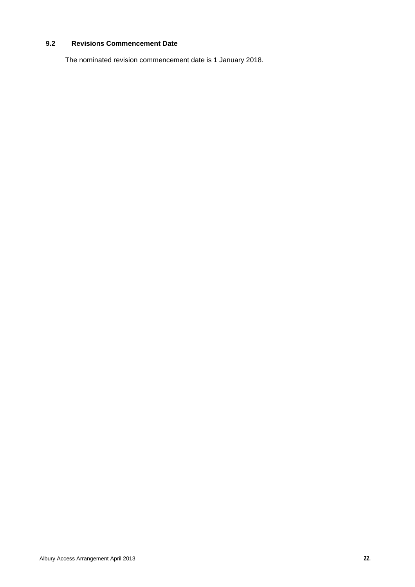#### <span id="page-21-0"></span>**9.2 Revisions Commencement Date**

The nominated revision commencement date is 1 January 2018.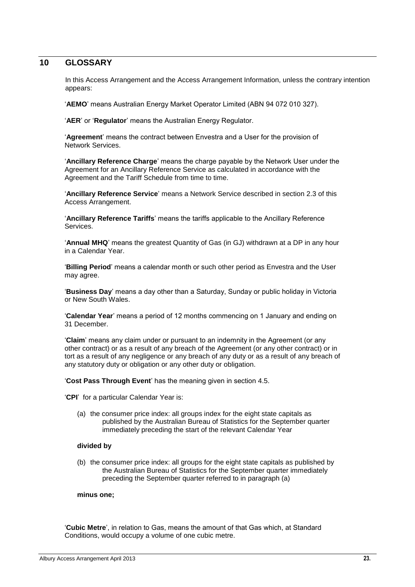#### <span id="page-22-0"></span>**10 GLOSSARY**

In this Access Arrangement and the Access Arrangement Information, unless the contrary intention appears:

'**AEMO**' means Australian Energy Market Operator Limited (ABN 94 072 010 327).

'**AER**' or '**Regulator**' means the Australian Energy Regulator.

'**Agreement**' means the contract between Envestra and a User for the provision of Network Services.

'**Ancillary Reference Charge**' means the charge payable by the Network User under the Agreement for an Ancillary Reference Service as calculated in accordance with the Agreement and the Tariff Schedule from time to time.

'**Ancillary Reference Service**' means a Network Service described in section [2.3](#page-5-0) of this Access Arrangement.

'**Ancillary Reference Tariffs**' means the tariffs applicable to the Ancillary Reference Services.

'**Annual MHQ**' means the greatest Quantity of Gas (in GJ) withdrawn at a DP in any hour in a Calendar Year.

'**Billing Period**' means a calendar month or such other period as Envestra and the User may agree.

'**Business Day**' means a day other than a Saturday, Sunday or public holiday in Victoria or New South Wales.

'**Calendar Year**' means a period of 12 months commencing on 1 January and ending on 31 December.

'**Claim**' means any claim under or pursuant to an indemnity in the Agreement (or any other contract) or as a result of any breach of the Agreement (or any other contract) or in tort as a result of any negligence or any breach of any duty or as a result of any breach of any statutory duty or obligation or any other duty or obligation.

'**Cost Pass Through Event**' has the meaning given in section [4.5.](#page-9-0)

'**CPI**' for a particular Calendar Year is:

(a) the consumer price index: all groups index for the eight state capitals as published by the Australian Bureau of Statistics for the September quarter immediately preceding the start of the relevant Calendar Year

#### **divided by**

(b) the consumer price index: all groups for the eight state capitals as published by the Australian Bureau of Statistics for the September quarter immediately preceding the September quarter referred to in paragraph (a)

#### **minus one;**

'**Cubic Metre**', in relation to Gas, means the amount of that Gas which, at Standard Conditions, would occupy a volume of one cubic metre.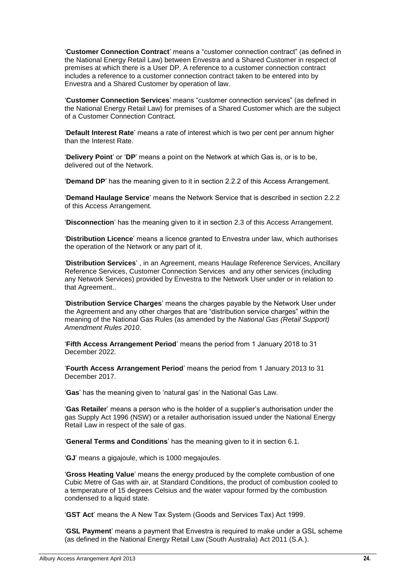'**Customer Connection Contract**' means a "customer connection contract" (as defined in the National Energy Retail Law) between Envestra and a Shared Customer in respect of premises at which there is a User DP. A reference to a customer connection contract includes a reference to a customer connection contract taken to be entered into by Envestra and a Shared Customer by operation of law.

'**Customer Connection Services**' means "customer connection services" (as defined in the National Energy Retail Law) for premises of a Shared Customer which are the subject of a Customer Connection Contract.

'**Default Interest Rate**' means a rate of interest which is two per cent per annum higher than the Interest Rate.

'**Delivery Point**' or '**DP**' means a point on the Network at which Gas is, or is to be, delivered out of the Network.

'**Demand DP**' has the meaning given to it in section 2.2.2 of this Access Arrangement.

'**Demand Haulage Service**' means the Network Service that is described in section 2.2.2 of this Access Arrangement.

'**Disconnection**' has the meaning given to it in section [2.3](#page-5-0) of this Access Arrangement.

'**Distribution Licence**' means a licence granted to Envestra under law, which authorises the operation of the Network or any part of it.

'**Distribution Services**' , in an Agreement, means Haulage Reference Services, Ancillary Reference Services, Customer Connection Services and any other services (including any Network Services) provided by Envestra to the Network User under or in relation to that Agreement..

'**Distribution Service Charges**' means the charges payable by the Network User under the Agreement and any other charges that are "distribution service charges" within the meaning of the National Gas Rules (as amended by the *National Gas (Retail Support) Amendment Rules 2010*.

'**Fifth Access Arrangement Period**' means the period from 1 January 2018 to 31 December 2022.

'**Fourth Access Arrangement Period**' means the period from 1 January 2013 to 31 December 2017.

'**Gas**' has the meaning given to 'natural gas' in the National Gas Law*.*

'**Gas Retailer**' means a person who is the holder of a supplier's authorisation under the gas Supply Act 1996 (NSW) or a retailer authorisation issued under the National Energy Retail Law in respect of the sale of gas.

'**General Terms and Conditions**' has the meaning given to it in section [6.1.](#page-16-2)

'**GJ**' means a gigajoule, which is 1000 megajoules.

'**Gross Heating Value**' means the energy produced by the complete combustion of one Cubic Metre of Gas with air, at Standard Conditions, the product of combustion cooled to a temperature of 15 degrees Celsius and the water vapour formed by the combustion condensed to a liquid state.

'**GST Act**' means the A New Tax System (Goods and Services Tax) Act 1999.

'**GSL Payment**' means a payment that Envestra is required to make under a GSL scheme (as defined in the National Energy Retail Law (South Australia) Act 2011 (S.A.).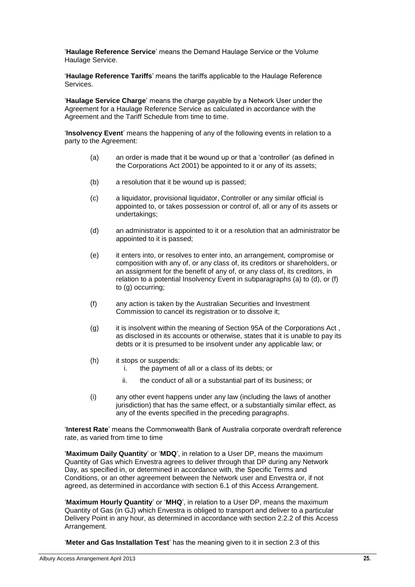'**Haulage Reference Service**' means the Demand Haulage Service or the Volume Haulage Service.

'**Haulage Reference Tariffs**' means the tariffs applicable to the Haulage Reference Services.

'**Haulage Service Charge**' means the charge payable by a Network User under the Agreement for a Haulage Reference Service as calculated in accordance with the Agreement and the Tariff Schedule from time to time.

'**Insolvency Event**' means the happening of any of the following events in relation to a party to the Agreement:

- (a) an order is made that it be wound up or that a 'controller' (as defined in the Corporations Act 2001) be appointed to it or any of its assets;
- (b) a resolution that it be wound up is passed;
- (c) a liquidator, provisional liquidator, Controller or any similar official is appointed to, or takes possession or control of, all or any of its assets or undertakings;
- (d) an administrator is appointed to it or a resolution that an administrator be appointed to it is passed;
- (e) it enters into, or resolves to enter into, an arrangement, compromise or composition with any of, or any class of, its creditors or shareholders, or an assignment for the benefit of any of, or any class of, its creditors, in relation to a potential Insolvency Event in subparagraphs (a) to (d), or (f) to (g) occurring;
- (f) any action is taken by the Australian Securities and Investment Commission to cancel its registration or to dissolve it;
- (g) it is insolvent within the meaning of Section 95A of the Corporations Act, as disclosed in its accounts or otherwise, states that it is unable to pay its debts or it is presumed to be insolvent under any applicable law; or
- (h) it stops or suspends:
	- i. the payment of all or a class of its debts; or
	- ii. the conduct of all or a substantial part of its business; or
- (i) any other event happens under any law (including the laws of another jurisdiction) that has the same effect, or a substantially similar effect, as any of the events specified in the preceding paragraphs.

'**Interest Rate**' means the Commonwealth Bank of Australia corporate overdraft reference rate, as varied from time to time

'**Maximum Daily Quantity**' or '**MDQ**', in relation to a User DP, means the maximum Quantity of Gas which Envestra agrees to deliver through that DP during any Network Day, as specified in, or determined in accordance with, the Specific Terms and Conditions, or an other agreement between the Network user and Envestra or, if not agreed, as determined in accordance with section 6.1 of this Access Arrangement.

'**Maximum Hourly Quantity**' or '**MHQ**', in relation to a User DP, means the maximum Quantity of Gas (in GJ) which Envestra is obliged to transport and deliver to a particular Delivery Point in any hour, as determined in accordance with section 2.2.2 of this Access Arrangement.

'**Meter and Gas Installation Test**' has the meaning given to it in section 2.3 of this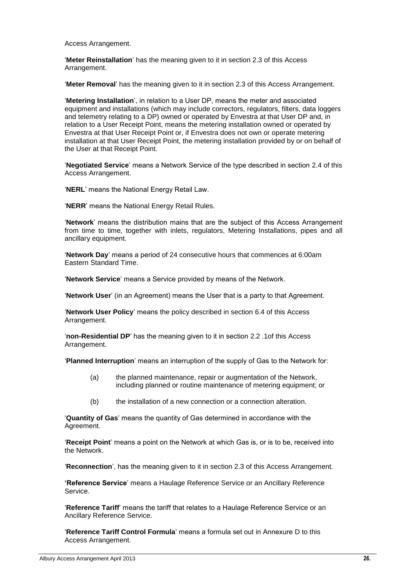Access Arrangement.

'**Meter Reinstallation**' has the meaning given to it in section 2.3 of this Access Arrangement.

'**Meter Removal**' has the meaning given to it in section 2.3 of this Access Arrangement.

'**Metering Installation**', in relation to a User DP, means the meter and associated equipment and installations (which may include correctors, regulators, filters, data loggers and telemetry relating to a DP) owned or operated by Envestra at that User DP and, in relation to a User Receipt Point, means the metering installation owned or operated by Envestra at that User Receipt Point or, if Envestra does not own or operate metering installation at that User Receipt Point, the metering installation provided by or on behalf of the User at that Receipt Point.

'**Negotiated Service**' means a Network Service of the type described in section [2.4](#page-6-0) of this Access Arrangement.

'**NERL**' means the National Energy Retail Law.

'**NERR**' means the National Energy Retail Rules.

'**Network**' means the distribution mains that are the subject of this Access Arrangement from time to time, together with inlets, regulators, Metering Installations, pipes and all ancillary equipment.

'**Network Day**' means a period of 24 consecutive hours that commences at 6:00am Eastern Standard Time.

'**Network Service**' means a Service provided by means of the Network.

'**Network User**' (in an Agreement) means the User that is a party to that Agreement.

'**Network User Policy**' means the policy described in section [6.4](#page-18-0) of this Access Arrangement.

'**non-Residential DP**' has the meaning given to it in section [2.2](#page-4-4) .1of this Access Arrangement.

'**Planned Interruption**' means an interruption of the supply of Gas to the Network for:

- (a) the planned maintenance, repair or augmentation of the Network, including planned or routine maintenance of metering equipment; or
- (b) the installation of a new connection or a connection alteration.

'**Quantity of Gas**' means the quantity of Gas determined in accordance with the Agreement.

'**Receipt Point**' means a point on the Network at which Gas is, or is to be, received into the Network.

'**Reconnection**', has the meaning given to it in section [2.3](#page-5-0) of this Access Arrangement.

**'Reference Service**' means a Haulage Reference Service or an Ancillary Reference Service.

'**Reference Tariff**' means the tariff that relates to a Haulage Reference Service or an Ancillary Reference Service.

'**Reference Tariff Control Formula**' means a formula set out in Annexure D to this Access Arrangement.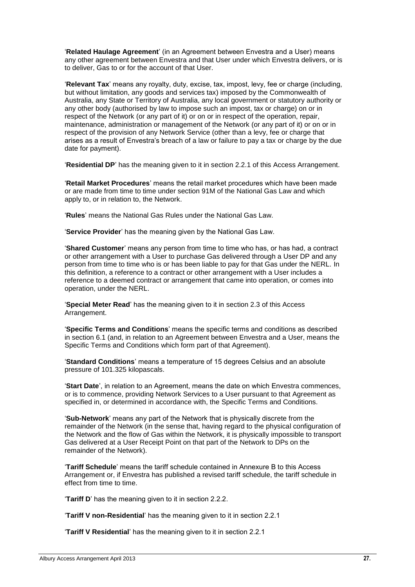'**Related Haulage Agreement**' (in an Agreement between Envestra and a User) means any other agreement between Envestra and that User under which Envestra delivers, or is to deliver, Gas to or for the account of that User.

'**Relevant Tax**' means any royalty, duty, excise, tax, impost, levy, fee or charge (including, but without limitation, any goods and services tax) imposed by the Commonwealth of Australia, any State or Territory of Australia, any local government or statutory authority or any other body (authorised by law to impose such an impost, tax or charge) on or in respect of the Network (or any part of it) or on or in respect of the operation, repair, maintenance, administration or management of the Network (or any part of it) or on or in respect of the provision of any Network Service (other than a levy, fee or charge that arises as a result of Envestra's breach of a law or failure to pay a tax or charge by the due date for payment).

'**Residential DP**' has the meaning given to it in section 2.2.1 of this Access Arrangement.

'**Retail Market Procedures**' means the retail market procedures which have been made or are made from time to time under section 91M of the National Gas Law and which apply to, or in relation to, the Network.

'**Rules**' means the National Gas Rules under the National Gas Law.

'**Service Provider**' has the meaning given by the National Gas Law.

'**Shared Customer**' means any person from time to time who has, or has had, a contract or other arrangement with a User to purchase Gas delivered through a User DP and any person from time to time who is or has been liable to pay for that Gas under the NERL. In this definition, a reference to a contract or other arrangement with a User includes a reference to a deemed contract or arrangement that came into operation, or comes into operation, under the NERL.

'**Special Meter Read**' has the meaning given to it in section 2.3 of this Access Arrangement.

'**Specific Terms and Conditions**' means the specific terms and conditions as described in section [6.1](#page-16-2) (and, in relation to an Agreement between Envestra and a User, means the Specific Terms and Conditions which form part of that Agreement).

'**Standard Conditions**' means a temperature of 15 degrees Celsius and an absolute pressure of 101.325 kilopascals.

'**Start Date**', in relation to an Agreement, means the date on which Envestra commences, or is to commence, providing Network Services to a User pursuant to that Agreement as specified in, or determined in accordance with, the Specific Terms and Conditions.

'**Sub-Network**' means any part of the Network that is physically discrete from the remainder of the Network (in the sense that, having regard to the physical configuration of the Network and the flow of Gas within the Network, it is physically impossible to transport Gas delivered at a User Receipt Point on that part of the Network to DPs on the remainder of the Network).

'**Tariff Schedule**' means the tariff schedule contained in Annexure B to this Access Arrangement or, if Envestra has published a revised tariff schedule, the tariff schedule in effect from time to time.

'**Tariff D**' has the meaning given to it in section 2.2.2.

'**Tariff V non-Residential**' has the meaning given to it in section 2.2.1

'**Tariff V Residential**' has the meaning given to it in section 2.2.1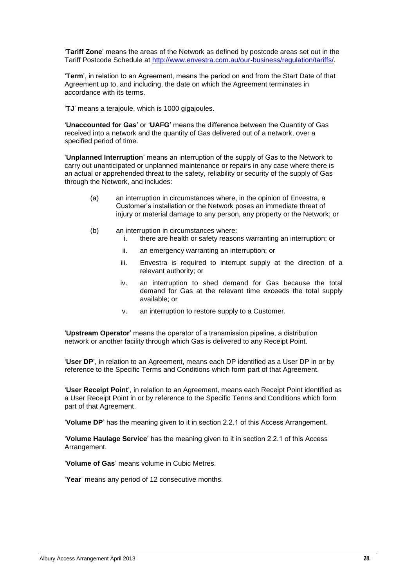'**Tariff Zone**' means the areas of the Network as defined by postcode areas set out in the Tariff Postcode Schedule at [http://www.envestra.com.au/our-business/regulation/tariffs/.](http://www.envestra.com.au/our-business/regulation/tariffs/)

'**Term**', in relation to an Agreement, means the period on and from the Start Date of that Agreement up to, and including, the date on which the Agreement terminates in accordance with its terms.

'**TJ**' means a terajoule, which is 1000 gigajoules.

'**Unaccounted for Gas**' or '**UAFG**' means the difference between the Quantity of Gas received into a network and the quantity of Gas delivered out of a network, over a specified period of time.

'**Unplanned Interruption**' means an interruption of the supply of Gas to the Network to carry out unanticipated or unplanned maintenance or repairs in any case where there is an actual or apprehended threat to the safety, reliability or security of the supply of Gas through the Network, and includes:

- (a) an interruption in circumstances where, in the opinion of Envestra, a Customer's installation or the Network poses an immediate threat of injury or material damage to any person, any property or the Network; or
- (b) an interruption in circumstances where:
	- i. there are health or safety reasons warranting an interruption; or
	- ii. an emergency warranting an interruption; or
	- iii. Envestra is required to interrupt supply at the direction of a relevant authority; or
	- iv. an interruption to shed demand for Gas because the total demand for Gas at the relevant time exceeds the total supply available; or
	- v. an interruption to restore supply to a Customer.

'**Upstream Operator**' means the operator of a transmission pipeline, a distribution network or another facility through which Gas is delivered to any Receipt Point.

'**User DP**', in relation to an Agreement, means each DP identified as a User DP in or by reference to the Specific Terms and Conditions which form part of that Agreement.

'**User Receipt Point**', in relation to an Agreement, means each Receipt Point identified as a User Receipt Point in or by reference to the Specific Terms and Conditions which form part of that Agreement.

'**Volume DP**' has the meaning given to it in section 2.2.1 of this Access Arrangement.

'**Volume Haulage Service**' has the meaning given to it in section 2.2.1 of this Access Arrangement.

'**Volume of Gas**' means volume in Cubic Metres.

'**Year**' means any period of 12 consecutive months.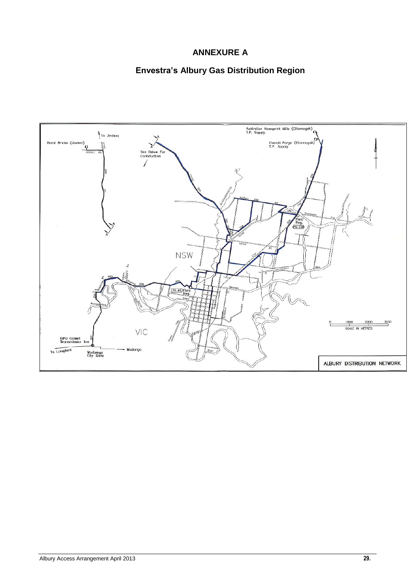## **ANNEXURE A**

## **Envestra's Albury Gas Distribution Region**

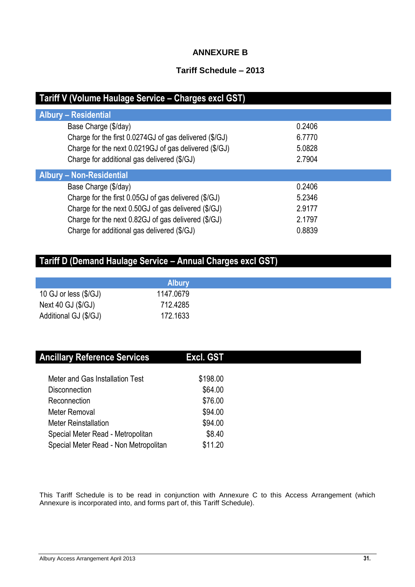## **ANNEXURE B**

## **Tariff Schedule – 2013**

| Tariff V (Volume Haulage Service - Charges excl GST)   |        |  |  |
|--------------------------------------------------------|--------|--|--|
| <b>Albury - Residential</b>                            |        |  |  |
| Base Charge (\$/day)                                   | 0.2406 |  |  |
| Charge for the first 0.0274GJ of gas delivered (\$/GJ) | 6.7770 |  |  |
| Charge for the next 0.0219GJ of gas delivered (\$/GJ)  | 5.0828 |  |  |
| Charge for additional gas delivered (\$/GJ)            | 2.7904 |  |  |
| <b>Albury - Non-Residential</b>                        |        |  |  |
| Base Charge (\$/day)                                   | 0.2406 |  |  |
| Charge for the first 0.05GJ of gas delivered (\$/GJ)   | 5.2346 |  |  |
| Charge for the next 0.50GJ of gas delivered (\$/GJ)    | 2.9177 |  |  |
| Charge for the next 0.82GJ of gas delivered (\$/GJ)    | 2.1797 |  |  |
| Charge for additional gas delivered (\$/GJ)            | 0.8839 |  |  |

# **Tariff D (Demand Haulage Service – Annual Charges excl GST)**

|                               | <b>Albury</b> |
|-------------------------------|---------------|
| 10 GJ or less $(\frac{6}{3})$ | 1147.0679     |
| Next 40 GJ (\$/GJ)            | 712.4285      |
| Additional GJ (\$/GJ)         | 172.1633      |

| <b>Ancillary Reference Services</b>   | Excl. GST |  |
|---------------------------------------|-----------|--|
| Meter and Gas Installation Test       | \$198.00  |  |
| <b>Disconnection</b>                  | \$64.00   |  |
| Reconnection                          | \$76.00   |  |
| Meter Removal                         | \$94.00   |  |
| <b>Meter Reinstallation</b>           | \$94.00   |  |
| Special Meter Read - Metropolitan     | \$8.40    |  |
| Special Meter Read - Non Metropolitan | \$11.20   |  |

This Tariff Schedule is to be read in conjunction with Annexure C to this Access Arrangement (which Annexure is incorporated into, and forms part of, this Tariff Schedule).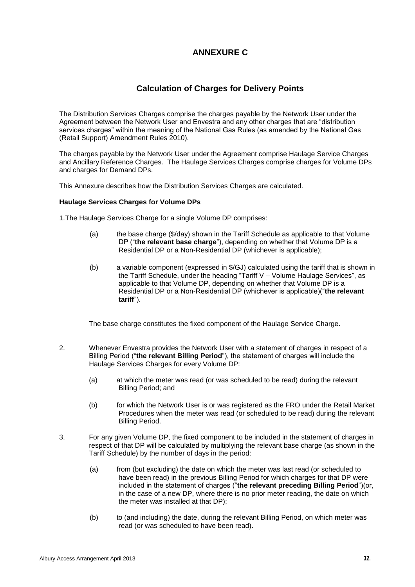## **ANNEXURE C**

## **Calculation of Charges for Delivery Points**

The Distribution Services Charges comprise the charges payable by the Network User under the Agreement between the Network User and Envestra and any other charges that are "distribution services charges" within the meaning of the National Gas Rules (as amended by the National Gas (Retail Support) Amendment Rules 2010).

The charges payable by the Network User under the Agreement comprise Haulage Service Charges and Ancillary Reference Charges. The Haulage Services Charges comprise charges for Volume DPs and charges for Demand DPs.

This Annexure describes how the Distribution Services Charges are calculated.

#### **Haulage Services Charges for Volume DPs**

1.The Haulage Services Charge for a single Volume DP comprises:

- (a) the base charge (\$/day) shown in the Tariff Schedule as applicable to that Volume DP ("**the relevant base charge**"), depending on whether that Volume DP is a Residential DP or a Non-Residential DP (whichever is applicable);
- (b) a variable component (expressed in \$/GJ) calculated using the tariff that is shown in the Tariff Schedule, under the heading "Tariff V – Volume Haulage Services", as applicable to that Volume DP, depending on whether that Volume DP is a Residential DP or a Non-Residential DP (whichever is applicable)("**the relevant tariff**").

The base charge constitutes the fixed component of the Haulage Service Charge.

- 2. Whenever Envestra provides the Network User with a statement of charges in respect of a Billing Period ("**the relevant Billing Period**"), the statement of charges will include the Haulage Services Charges for every Volume DP:
	- (a) at which the meter was read (or was scheduled to be read) during the relevant Billing Period; and
	- (b) for which the Network User is or was registered as the FRO under the Retail Market Procedures when the meter was read (or scheduled to be read) during the relevant Billing Period.
- 3. For any given Volume DP, the fixed component to be included in the statement of charges in respect of that DP will be calculated by multiplying the relevant base charge (as shown in the Tariff Schedule) by the number of days in the period:
	- (a) from (but excluding) the date on which the meter was last read (or scheduled to have been read) in the previous Billing Period for which charges for that DP were included in the statement of charges ("**the relevant preceding Billing Period**")(or, in the case of a new DP, where there is no prior meter reading, the date on which the meter was installed at that DP);
	- (b) to (and including) the date, during the relevant Billing Period, on which meter was read (or was scheduled to have been read).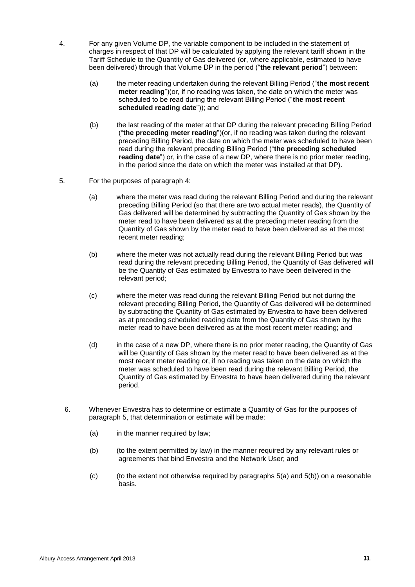- 4. For any given Volume DP, the variable component to be included in the statement of charges in respect of that DP will be calculated by applying the relevant tariff shown in the Tariff Schedule to the Quantity of Gas delivered (or, where applicable, estimated to have been delivered) through that Volume DP in the period ("**the relevant period**") between:
	- (a) the meter reading undertaken during the relevant Billing Period ("**the most recent meter reading**")(or, if no reading was taken, the date on which the meter was scheduled to be read during the relevant Billing Period ("**the most recent scheduled reading date**")); and
	- (b) the last reading of the meter at that DP during the relevant preceding Billing Period ("**the preceding meter reading**")(or, if no reading was taken during the relevant preceding Billing Period, the date on which the meter was scheduled to have been read during the relevant preceding Billing Period ("**the preceding scheduled reading date**") or, in the case of a new DP, where there is no prior meter reading, in the period since the date on which the meter was installed at that DP).
- 5. For the purposes of paragraph 4:
	- (a) where the meter was read during the relevant Billing Period and during the relevant preceding Billing Period (so that there are two actual meter reads), the Quantity of Gas delivered will be determined by subtracting the Quantity of Gas shown by the meter read to have been delivered as at the preceding meter reading from the Quantity of Gas shown by the meter read to have been delivered as at the most recent meter reading;
	- (b) where the meter was not actually read during the relevant Billing Period but was read during the relevant preceding Billing Period, the Quantity of Gas delivered will be the Quantity of Gas estimated by Envestra to have been delivered in the relevant period;
	- (c) where the meter was read during the relevant Billing Period but not during the relevant preceding Billing Period, the Quantity of Gas delivered will be determined by subtracting the Quantity of Gas estimated by Envestra to have been delivered as at preceding scheduled reading date from the Quantity of Gas shown by the meter read to have been delivered as at the most recent meter reading; and
	- (d) in the case of a new DP, where there is no prior meter reading, the Quantity of Gas will be Quantity of Gas shown by the meter read to have been delivered as at the most recent meter reading or, if no reading was taken on the date on which the meter was scheduled to have been read during the relevant Billing Period, the Quantity of Gas estimated by Envestra to have been delivered during the relevant period.
	- 6. Whenever Envestra has to determine or estimate a Quantity of Gas for the purposes of paragraph 5, that determination or estimate will be made:
		- (a) in the manner required by law;
		- (b) (to the extent permitted by law) in the manner required by any relevant rules or agreements that bind Envestra and the Network User; and
		- $(c)$  (to the extent not otherwise required by paragraphs  $5(a)$  and  $5(b)$ ) on a reasonable basis.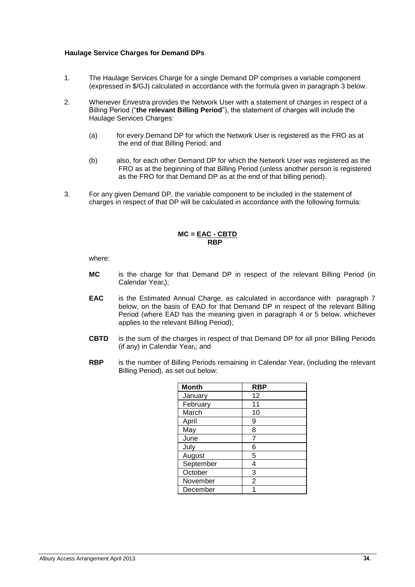#### **Haulage Service Charges for Demand DPs**

- 1. The Haulage Services Charge for a single Demand DP comprises a variable component (expressed in \$/GJ) calculated in accordance with the formula given in paragraph 3 below.
- 2. Whenever Envestra provides the Network User with a statement of charges in respect of a Billing Period ("**the relevant Billing Period**"), the statement of charges will include the Haulage Services Charges:
	- (a) for every Demand DP for which the Network User is registered as the FRO as at the end of that Billing Period; and
	- (b) also, for each other Demand DP for which the Network User was registered as the FRO as at the beginning of that Billing Period (unless another person is registered as the FRO for that Demand DP as at the end of that billing period).
- 3. For any given Demand DP, the variable component to be included in the statement of charges in respect of that DP will be calculated in accordance with the following formula:

#### **MC = EAC - CBTD RBP**

where:

- **MC** is the charge for that Demand DP in respect of the relevant Billing Period (in Calendar  $Year_t)$ ;
- **EAC** is the Estimated Annual Charge, as calculated in accordance with paragraph 7 below, on the basis of EAD for that Demand DP in respect of the relevant Billing Period (where EAD has the meaning given in paragraph 4 or 5 below, whichever applies to the relevant Billing Period);
- **CBTD** is the sum of the charges in respect of that Demand DP for all prior Billing Periods (if any) in Calendar Year<sub>t</sub>; and
- **RBP** is the number of Billing Periods remaining in Calendar Year<sub>t</sub> (including the relevant Billing Period), as set out below:

| <b>Month</b> | <b>RBP</b>     |
|--------------|----------------|
| January      | 12             |
| February     | 11             |
| March        | 10             |
| April        | 9              |
| May          | 8              |
| June         |                |
| July         | 6              |
| August       | 5              |
| September    | 4              |
| October      | 3              |
| November     | $\overline{2}$ |
| December     |                |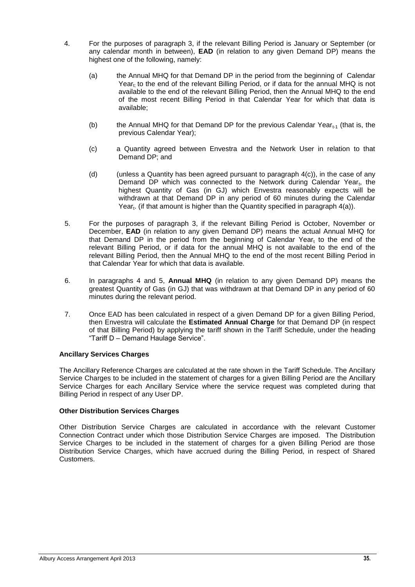- 4. For the purposes of paragraph 3, if the relevant Billing Period is January or September (or any calendar month in between), **EAD** (in relation to any given Demand DP) means the highest one of the following, namely:
	- (a) the Annual MHQ for that Demand DP in the period from the beginning of Calendar Year<sub>t</sub> to the end of the relevant Billing Period, or if data for the annual MHQ is not available to the end of the relevant Billing Period, then the Annual MHQ to the end of the most recent Billing Period in that Calendar Year for which that data is available;
	- (b) the Annual MHQ for that Demand DP for the previous Calendar Year $_{t-1}$  (that is, the previous Calendar Year);
	- (c) a Quantity agreed between Envestra and the Network User in relation to that Demand DP; and
	- (d) (unless a Quantity has been agreed pursuant to paragraph  $4(c)$ ), in the case of any Demand DP which was connected to the Network during Calendar Year $_{\rm t}$ , the highest Quantity of Gas (in GJ) which Envestra reasonably expects will be withdrawn at that Demand DP in any period of 60 minutes during the Calendar Year<sub>t</sub>. (if that amount is higher than the Quantity specified in paragraph 4(a)).
- 5. For the purposes of paragraph 3, if the relevant Billing Period is October, November or December, **EAD** (in relation to any given Demand DP) means the actual Annual MHQ for that Demand DP in the period from the beginning of Calendar Year<sub>t</sub> to the end of the relevant Billing Period, or if data for the annual MHQ is not available to the end of the relevant Billing Period, then the Annual MHQ to the end of the most recent Billing Period in that Calendar Year for which that data is available.
- 6. In paragraphs 4 and 5, **Annual MHQ** (in relation to any given Demand DP) means the greatest Quantity of Gas (in GJ) that was withdrawn at that Demand DP in any period of 60 minutes during the relevant period.
- 7. Once EAD has been calculated in respect of a given Demand DP for a given Billing Period, then Envestra will calculate the **Estimated Annual Charge** for that Demand DP (in respect of that Billing Period) by applying the tariff shown in the Tariff Schedule, under the heading "Tariff D – Demand Haulage Service".

#### **Ancillary Services Charges**

The Ancillary Reference Charges are calculated at the rate shown in the Tariff Schedule. The Ancillary Service Charges to be included in the statement of charges for a given Billing Period are the Ancillary Service Charges for each Ancillary Service where the service request was completed during that Billing Period in respect of any User DP.

#### **Other Distribution Services Charges**

Other Distribution Service Charges are calculated in accordance with the relevant Customer Connection Contract under which those Distribution Service Charges are imposed. The Distribution Service Charges to be included in the statement of charges for a given Billing Period are those Distribution Service Charges, which have accrued during the Billing Period, in respect of Shared Customers.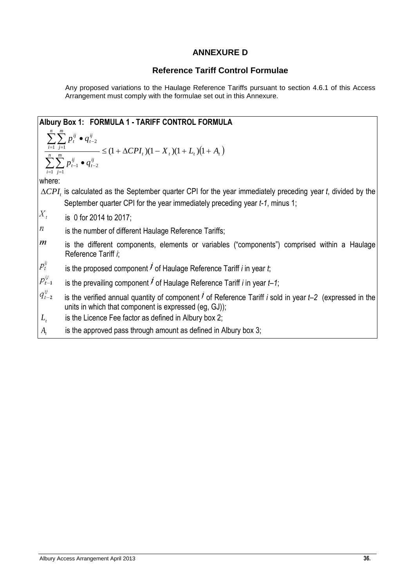## **ANNEXURE D**

## **Reference Tariff Control Formulae**

Any proposed variations to the Haulage Reference Tariffs pursuant to section 4.6.1 of this Access Arrangement must comply with the formulae set out in this Annexure.

|                         | Albury Box 1: FORMULA 1 - TARIFF CONTROL FORMULA                                                                                                                                         |
|-------------------------|------------------------------------------------------------------------------------------------------------------------------------------------------------------------------------------|
|                         |                                                                                                                                                                                          |
|                         | $\frac{\sum_{i=1}^{n} \sum_{j=1}^{m} p_i^{ij} \bullet q_{t-2}^{ij}}{\sum_{i=1}^{n} \sum_{j=1}^{m} p_{t-1}^{ij} \bullet q_{t-2}^{ij}} \leq (1 + \Delta CPI_t)(1 - X_t)(1 + L_t)(1 + A_t)$ |
| where:                  |                                                                                                                                                                                          |
|                         | $\triangle$ CPI, is calculated as the September quarter CPI for the year immediately preceding year t, divided by the                                                                    |
|                         | September quarter CPI for the year immediately preceding year t-1, minus 1;                                                                                                              |
| $\boldsymbol{X}_t$      | is 0 for 2014 to 2017;                                                                                                                                                                   |
| $\it n$                 | is the number of different Haulage Reference Tariffs;                                                                                                                                    |
| $\overline{m}$          | is the different components, elements or variables ("components") comprised within a Haulage<br>Reference Tariff i;                                                                      |
| $p_t^y$                 | is the proposed component $\ell$ of Haulage Reference Tariff i in year t;                                                                                                                |
| $p_{t-1}^{\mathit{ij}}$ | is the prevailing component $\ell$ of Haulage Reference Tariff i in year $t-1$ ;                                                                                                         |
| $q_{t-2}^y$             | is the verified annual quantity of component $\overline{I}$ of Reference Tariff i sold in year $t-2$ (expressed in the<br>units in which that component is expressed (eg, GJ));          |
| $L_{\rm t}$             | is the Licence Fee factor as defined in Albury box 2;                                                                                                                                    |
| $A_{t}$                 | is the approved pass through amount as defined in Albury box 3;                                                                                                                          |
|                         |                                                                                                                                                                                          |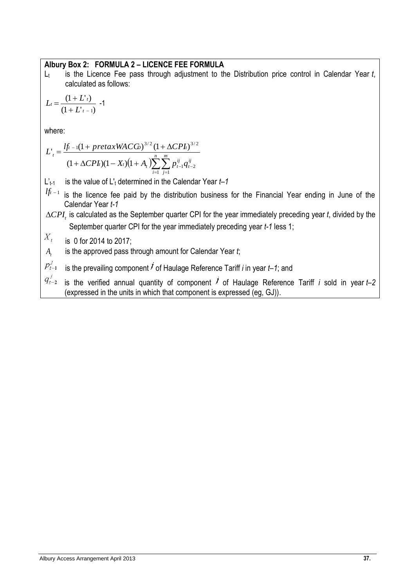## **Albury Box 2: FORMULA 2 – LICENCE FEE FORMULA**

L<sub>t</sub> is the Licence Fee pass through adjustment to the Distribution price control in Calendar Year *t*, calculated as follows:

$$
L_t = \frac{(1 + L^r t)}{(1 + L^r t - 1)} - 1
$$

where:

$$
L'_{t} = \frac{l f_{t-1} (1 + pretaxWACG)^{3/2} (1 + \Delta CPL)^{3/2}}{(1 + \Delta CPL)(1 - X_{t}) (1 + A_{t}) \sum_{i=1}^{n} \sum_{j=1}^{m} p_{t-1}^{ij} q_{t-2}^{ij}}
$$

- L'<sub>t-1</sub> is the value of L'<sub>t</sub> determined in the Calendar Year  $t-1$
- $l f t$ <sub> $-1$ </sub> is the licence fee paid by the distribution business for the Financial Year ending in June of the Calendar Year *t-1*
- $\Delta{CPI_{t}}$  is calculated as the September quarter CPI for the year immediately preceding year *t*, divided by the September quarter CPI for the year immediately preceding year *t-1* less 1;

$$
X_t =
$$
 is 0 for 2014 to 2017;

*At* is the approved pass through amount for Calendar Year *t*;

is the prevailing component  $\vec{J}$  of Haulage Reference Tariff *i* in year  $t$ –1; and  $p_{t-1}^J$ 

 $q_{t-2}^j$ is the verified annual quantity of component  $\vec{J}$  of Haulage Reference Tariff *i* sold in year  $t$ –2 (expressed in the units in which that component is expressed (eg, GJ)).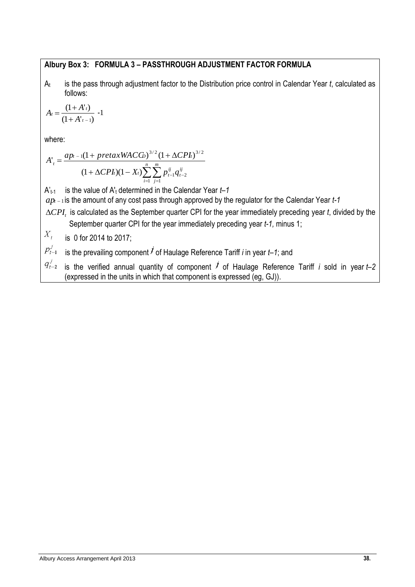## **Albury Box 3: FORMULA 3 – PASSTHROUGH ADJUSTMENT FACTOR FORMULA**

A<sup>t</sup> is the pass through adjustment factor to the Distribution price control in Calendar Year *t*, calculated as follows:

$$
A_t = \frac{(1 + A'_t)}{(1 + A'_{t-1})} - 1
$$

where:

where:  
\n
$$
A'_{t} = \frac{ap_{t-1}(1 + pretaxWACG)^{3/2}(1 + \Delta CPI_{t})^{3/2}}{(1 + \Delta CPI_{t})(1 - X_{t})\sum_{i=1}^{n}\sum_{j=1}^{m}p_{t-1}^{ij}q_{t-2}^{ij}}
$$

A't-1 is the value of A'<sup>t</sup> determined in the Calendar Year *t–1*

 $ap_{t-1}$ is the amount of any cost pass through approved by the regulator for the Calendar Year *t-1* 

 $\Delta{CPI}_t$  is calculated as the September quarter CPI for the year immediately preceding year *t*, divided by the September quarter CPI for the year immediately preceding year *t-1,* minus 1;

 $X_{\star}$ is 0 for 2014 to 2017;

 $p_{t-1}^{\,j}$ is the prevailing component  $\vec{J}$  of Haulage Reference Tariff *i* in year  $t$ –1; and

 $q_{t-2}^{j}$  is the verified annual quantity of component  $j$  of Haulage Reference Tariff *i* sold in year  $t-2$ (expressed in the units in which that component is expressed (eg, GJ)).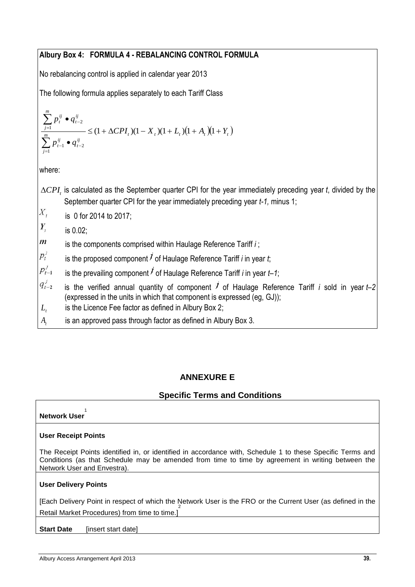## **Albury Box 4: FORMULA 4 - REBALANCING CONTROL FORMULA**

No rebalancing control is applied in calendar year 2013

The following formula applies separately to each Tariff Class

$$
\frac{\sum_{j=1}^{m} p_t^{ij} \bullet q_{t-2}^{ij}}{\sum_{j=1}^{m} p_{t-1}^{ij} \bullet q_{t-2}^{ij}} \leq (1 + \Delta CPI_t)(1 - X_t)(1 + L_t)(1 + A_t)(1 + Y_t)
$$

where:

- $\Delta{CPI}_t$  is calculated as the September quarter CPI for the year immediately preceding year *t*, divided by the September quarter CPI for the year immediately preceding year *t-1,* minus 1;
- $X_{t}$ is 0 for 2014 to 2017;

 $\overline{Y}$ is 0.02;

- $\dot{m}$ is the components comprised within Haulage Reference Tariff *i* ;
- $p_t^j$ is the proposed component  $\overline{I}$  of Haulage Reference Tariff *i* in year *t*;
- $p_{t-1}^j$ is the prevailing component  $\overline{I}$  of Haulage Reference Tariff *i* in year  $t$ –1;
- $q_{t-2}^j$ is the verified annual quantity of component  $\vec{I}$  of Haulage Reference Tariff *i* sold in year  $t$ –2 (expressed in the units in which that component is expressed (eg, GJ));
- $L_{t}$ is the Licence Fee factor as defined in Albury Box 2;
- *At* is an approved pass through factor as defined in Albury Box 3.

## **ANNEXURE E**

## **Specific Terms and Conditions**

#### **Network User** 1

## **User Receipt Points**

The Receipt Points identified in, or identified in accordance with, Schedule 1 to these Specific Terms and Conditions (as that Schedule may be amended from time to time by agreement in writing between the Network User and Envestra).

#### **User Delivery Points**

[Each Delivery Point in respect of which the Network User is the FRO or the Current User (as defined in the Retail Market Procedures) from time to time.]

**Start Date** [insert start date]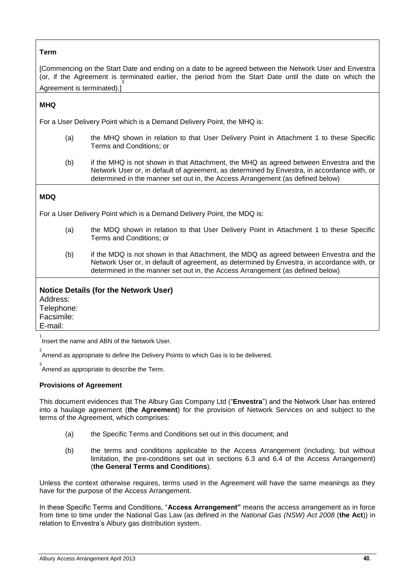## **Term**

[Commencing on the Start Date and ending on a date to be agreed between the Network User and Envestra (or, if the Agreement is terminated earlier, the period from the Start Date until the date on which the Agreement is terminated).] 3

#### **MHQ**

For a User Delivery Point which is a Demand Delivery Point, the MHQ is:

- (a) the MHQ shown in relation to that User Delivery Point in Attachment 1 to these Specific Terms and Conditions; or
- (b) if the MHQ is not shown in that Attachment, the MHQ as agreed between Envestra and the Network User or, in default of agreement, as determined by Envestra, in accordance with, or determined in the manner set out in, the Access Arrangement (as defined below).

#### **MDQ**

For a User Delivery Point which is a Demand Delivery Point, the MDQ is:

- (a) the MDQ shown in relation to that User Delivery Point in Attachment 1 to these Specific Terms and Conditions; or
- (b) if the MDQ is not shown in that Attachment, the MDQ as agreed between Envestra and the Network User or, in default of agreement, as determined by Envestra, in accordance with, or determined in the manner set out in, the Access Arrangement (as defined below).

#### **Notice Details (for the Network User)** Address:

Telephone: Facsimile: E-mail:

 $\overline{2}$ 

1 Insert the name and ABN of the Network User.

Amend as appropriate to define the Delivery Points to which Gas is to be delivered.

3 Amend as appropriate to describe the Term.

#### **Provisions of Agreement**

This document evidences that The Albury Gas Company Ltd ("**Envestra**") and the Network User has entered into a haulage agreement (**the Agreement**) for the provision of Network Services on and subject to the terms of the Agreement, which comprises:

- (a) the Specific Terms and Conditions set out in this document; and
- (b) the terms and conditions applicable to the Access Arrangement (including, but without limitation, the pre-conditions set out in sections [6.3](#page-17-1) and [6.4](#page-18-0) of the Access Arrangement) (**the General Terms and Conditions**).

Unless the context otherwise requires, terms used in the Agreement will have the same meanings as they have for the purpose of the Access Arrangement.

In these Specific Terms and Conditions, "**Access Arrangement"** means the access arrangement as in force from time to time under the National Gas Law (as defined in the *National Gas (NSW) Act 2008* (**the Act**)) in relation to Envestra's Albury gas distribution system.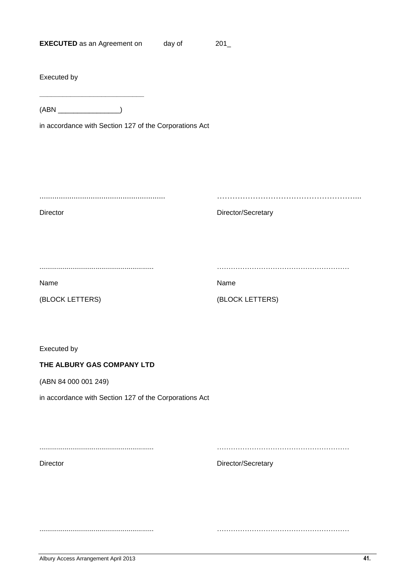| <b>EXECUTED</b> as an Agreement on | day of | 201 |
|------------------------------------|--------|-----|
|------------------------------------|--------|-----|

Executed by

(ABN \_\_\_\_\_\_\_\_\_\_\_\_\_\_\_\_)

**\_\_\_\_\_\_\_\_\_\_\_\_\_\_\_\_\_\_\_\_\_\_\_\_\_\_\_**

in accordance with Section 127 of the Corporations Act

........................................................... ………………………………………………...

Director Director Director/Secretary

........................................................... …………………………………………………

(BLOCK LETTERS) (BLOCK LETTERS)

Name Name

Executed by

#### **THE ALBURY GAS COMPANY LTD**

(ABN 84 000 001 249)

in accordance with Section 127 of the Corporations Act

........................................................... …………………………………………………

Director Director Director/Secretary

........................................................... …………………………………………………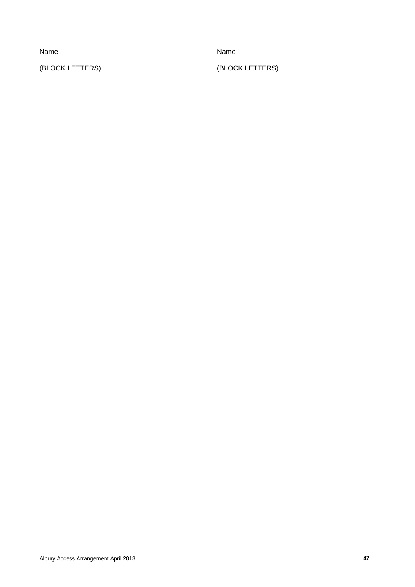(BLOCK LETTERS) (BLOCK LETTERS)

Name Name